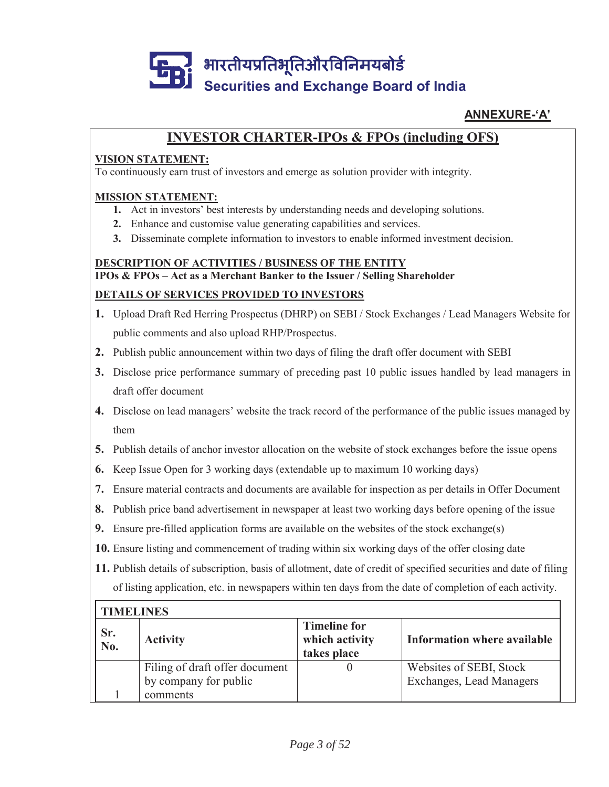

### **ANNEXURE-'A'**

# **INVESTOR CHARTER-IPOs & FPOs (including OFS)**

#### **VISION STATEMENT:**

To continuously earn trust of investors and emerge as solution provider with integrity.

#### **MISSION STATEMENT:**

Г

- **1.** Act in investors' best interests by understanding needs and developing solutions.
- **2.** Enhance and customise value generating capabilities and services.
- **3.** Disseminate complete information to investors to enable informed investment decision.

# **DESCRIPTION OF ACTIVITIES / BUSINESS OF THE ENTITY IPOs & FPOs – Act as a Merchant Banker to the Issuer / Selling Shareholder DETAILS OF SERVICES PROVIDED TO INVESTORS**

- **1.** Upload Draft Red Herring Prospectus (DHRP) on SEBI / Stock Exchanges / Lead Managers Website for public comments and also upload RHP/Prospectus.
- **2.** Publish public announcement within two days of filing the draft offer document with SEBI
- **3.** Disclose price performance summary of preceding past 10 public issues handled by lead managers in draft offer document
- **4.** Disclose on lead managers' website the track record of the performance of the public issues managed by them
- **5.** Publish details of anchor investor allocation on the website of stock exchanges before the issue opens
- **6.** Keep Issue Open for 3 working days (extendable up to maximum 10 working days)
- **7.** Ensure material contracts and documents are available for inspection as per details in Offer Document
- **8.** Publish price band advertisement in newspaper at least two working days before opening of the issue
- **9.** Ensure pre-filled application forms are available on the websites of the stock exchange(s)
- **10.** Ensure listing and commencement of trading within six working days of the offer closing date
- **11.** Publish details of subscription, basis of allotment, date of credit of specified securities and date of filing of listing application, etc. in newspapers within ten days from the date of completion of each activity.

| <b>TIMELINES</b>                |                                                         |                                                      |                                                     |  |
|---------------------------------|---------------------------------------------------------|------------------------------------------------------|-----------------------------------------------------|--|
| Sr.<br>$\overline{\text{No}}$ . | <b>Activity</b>                                         | <b>Timeline for</b><br>which activity<br>takes place | Information where available                         |  |
|                                 | Filing of draft offer document<br>by company for public |                                                      | Websites of SEBI, Stock<br>Exchanges, Lead Managers |  |
|                                 | comments                                                |                                                      |                                                     |  |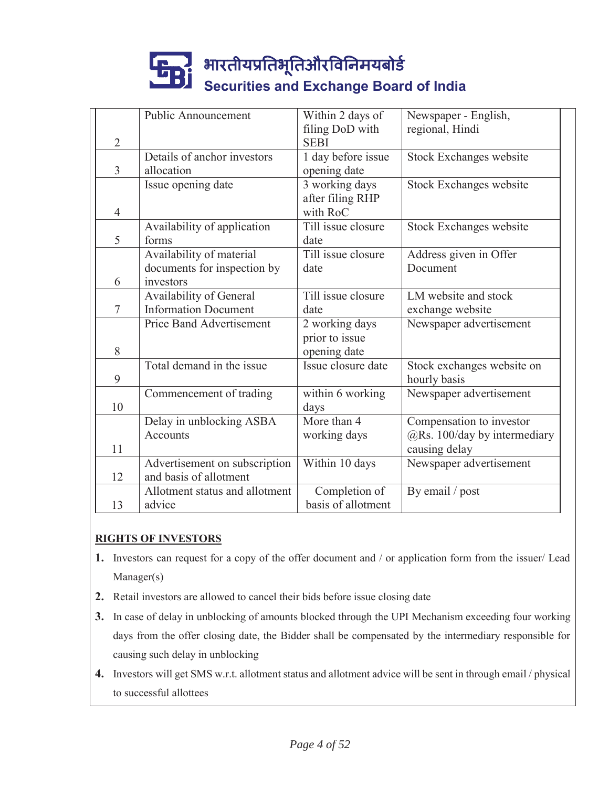|                | Public Announcement             | Within 2 days of   | Newspaper - English,         |
|----------------|---------------------------------|--------------------|------------------------------|
|                |                                 | filing DoD with    | regional, Hindi              |
| $\overline{2}$ |                                 | <b>SEBI</b>        |                              |
|                | Details of anchor investors     | 1 day before issue | Stock Exchanges website      |
| 3              | allocation                      | opening date       |                              |
|                | Issue opening date              | 3 working days     | Stock Exchanges website      |
|                |                                 | after filing RHP   |                              |
| $\overline{4}$ |                                 | with RoC           |                              |
|                | Availability of application     | Till issue closure | Stock Exchanges website      |
| 5              | forms                           | date               |                              |
|                | Availability of material        | Till issue closure | Address given in Offer       |
|                | documents for inspection by     | date               | Document                     |
| 6              | investors                       |                    |                              |
|                | Availability of General         | Till issue closure | LM website and stock         |
| $\overline{7}$ | <b>Information Document</b>     | date               | exchange website             |
|                | <b>Price Band Advertisement</b> | 2 working days     | Newspaper advertisement      |
|                |                                 | prior to issue     |                              |
| 8              |                                 | opening date       |                              |
|                | Total demand in the issue       | Issue closure date | Stock exchanges website on   |
| 9              |                                 |                    | hourly basis                 |
|                | Commencement of trading         | within 6 working   | Newspaper advertisement      |
| 10             |                                 | days               |                              |
|                | Delay in unblocking ASBA        | More than 4        | Compensation to investor     |
|                | Accounts                        | working days       | @Rs. 100/day by intermediary |
| 11             |                                 |                    | causing delay                |
|                | Advertisement on subscription   | Within 10 days     | Newspaper advertisement      |
| 12             | and basis of allotment          |                    |                              |
|                | Allotment status and allotment  | Completion of      | By email / post              |
| 13             | advice                          | basis of allotment |                              |

### **RIGHTS OF INVESTORS**

- **1.** Investors can request for a copy of the offer document and / or application form from the issuer/ Lead Manager(s)
- **2.** Retail investors are allowed to cancel their bids before issue closing date
- **3.** In case of delay in unblocking of amounts blocked through the UPI Mechanism exceeding four working days from the offer closing date, the Bidder shall be compensated by the intermediary responsible for causing such delay in unblocking
- **4.** Investors will get SMS w.r.t. allotment status and allotment advice will be sent in through email / physical to successful allottees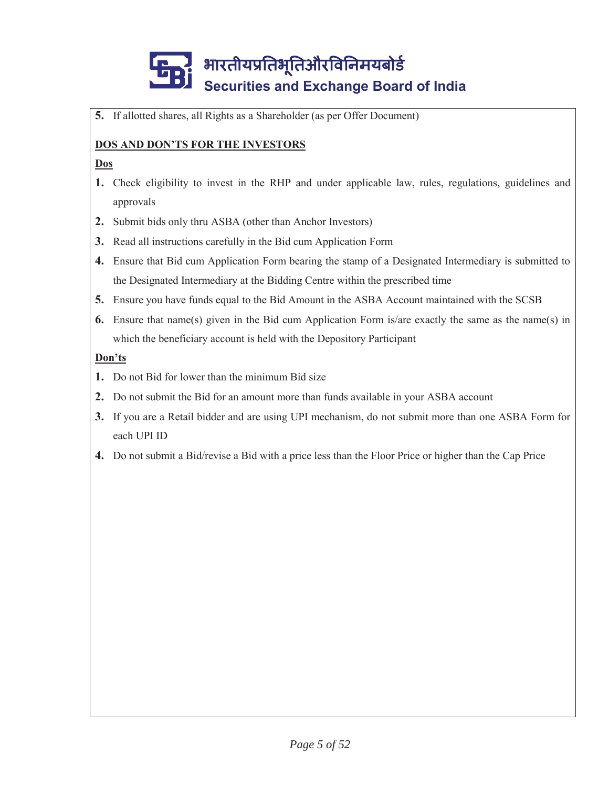**5.** If allotted shares, all Rights as a Shareholder (as per Offer Document)

### **DOS AND DON'TS FOR THE INVESTORS**

#### **Dos**

- **1.** Check eligibility to invest in the RHP and under applicable law, rules, regulations, guidelines and approvals
- **2.** Submit bids only thru ASBA (other than Anchor Investors)
- **3.** Read all instructions carefully in the Bid cum Application Form
- **4.** Ensure that Bid cum Application Form bearing the stamp of a Designated Intermediary is submitted to the Designated Intermediary at the Bidding Centre within the prescribed time
- **5.** Ensure you have funds equal to the Bid Amount in the ASBA Account maintained with the SCSB
- **6.** Ensure that name(s) given in the Bid cum Application Form is/are exactly the same as the name(s) in which the beneficiary account is held with the Depository Participant

### **Don'ts**

- **1.** Do not Bid for lower than the minimum Bid size
- **2.** Do not submit the Bid for an amount more than funds available in your ASBA account
- **3.** If you are a Retail bidder and are using UPI mechanism, do not submit more than one ASBA Form for each UPI ID
- **4.** Do not submit a Bid/revise a Bid with a price less than the Floor Price or higher than the Cap Price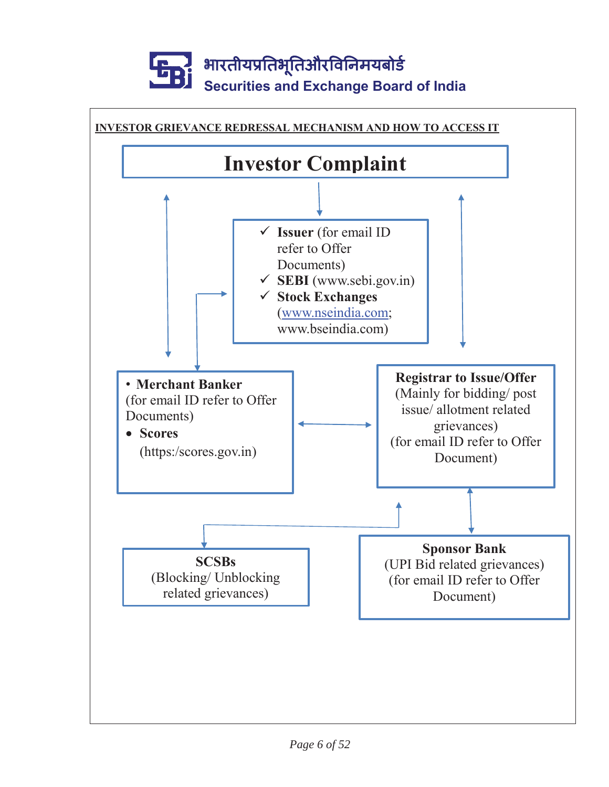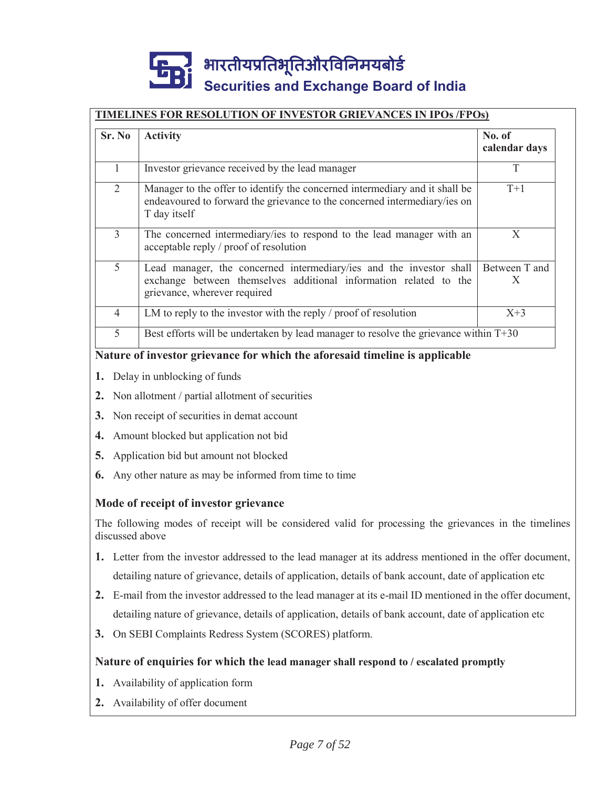#### **TIMELINES FOR RESOLUTION OF INVESTOR GRIEVANCES IN IPOs /FPOs)**

| Sr. No         | <b>Activity</b>                                                                                                                                                          | No. of<br>calendar days |
|----------------|--------------------------------------------------------------------------------------------------------------------------------------------------------------------------|-------------------------|
|                | Investor grievance received by the lead manager                                                                                                                          |                         |
| 2              | Manager to the offer to identify the concerned intermediary and it shall be<br>endeavoured to forward the grievance to the concerned intermediary/ies on<br>T day itself | $T+1$                   |
| $\mathcal{E}$  | The concerned intermediary/ies to respond to the lead manager with an<br>acceptable reply / proof of resolution                                                          | X                       |
| 5              | Lead manager, the concerned intermediary/ies and the investor shall<br>exchange between themselves additional information related to the<br>grievance, wherever required | Between T and<br>X      |
| $\overline{4}$ | LM to reply to the investor with the reply / proof of resolution                                                                                                         | $X+3$                   |
| 5              | Best efforts will be undertaken by lead manager to resolve the grievance within T+30                                                                                     |                         |

#### **Nature of investor grievance for which the aforesaid timeline is applicable**

- **1.** Delay in unblocking of funds
- **2.** Non allotment / partial allotment of securities
- **3.** Non receipt of securities in demat account
- **4.** Amount blocked but application not bid
- **5.** Application bid but amount not blocked
- **6.** Any other nature as may be informed from time to time

#### **Mode of receipt of investor grievance**

The following modes of receipt will be considered valid for processing the grievances in the timelines discussed above

- **1.** Letter from the investor addressed to the lead manager at its address mentioned in the offer document, detailing nature of grievance, details of application, details of bank account, date of application etc
- **2.** E-mail from the investor addressed to the lead manager at its e-mail ID mentioned in the offer document, detailing nature of grievance, details of application, details of bank account, date of application etc
- **3.** On SEBI Complaints Redress System (SCORES) platform.

#### **Nature of enquiries for which the lead manager shall respond to / escalated promptly**

- **1.** Availability of application form
- **2.** Availability of offer document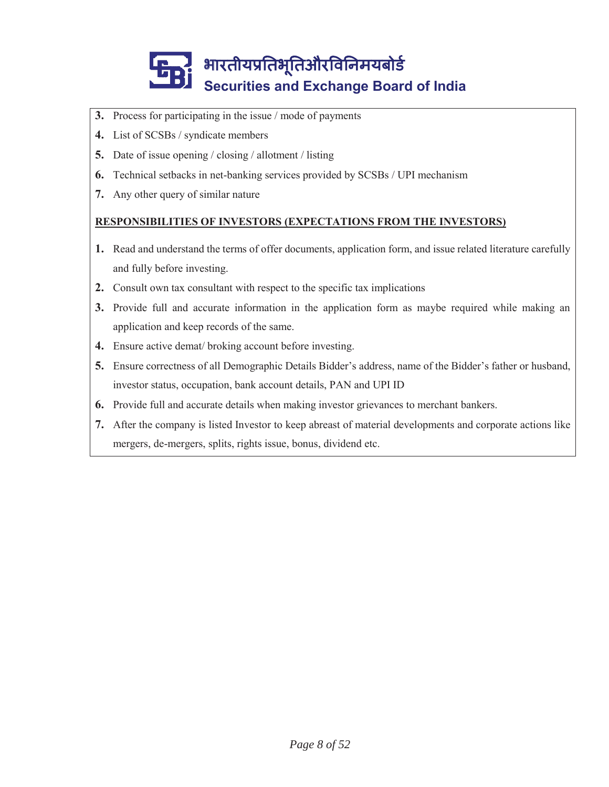

- **3.** Process for participating in the issue / mode of payments
- **4.** List of SCSBs / syndicate members
- **5.** Date of issue opening / closing / allotment / listing
- **6.** Technical setbacks in net-banking services provided by SCSBs / UPI mechanism
- **7.** Any other query of similar nature

### **RESPONSIBILITIES OF INVESTORS (EXPECTATIONS FROM THE INVESTORS)**

- **1.** Read and understand the terms of offer documents, application form, and issue related literature carefully and fully before investing.
- **2.** Consult own tax consultant with respect to the specific tax implications
- **3.** Provide full and accurate information in the application form as maybe required while making an application and keep records of the same.
- **4.** Ensure active demat/ broking account before investing.
- **5.** Ensure correctness of all Demographic Details Bidder's address, name of the Bidder's father or husband, investor status, occupation, bank account details, PAN and UPI ID
- **6.** Provide full and accurate details when making investor grievances to merchant bankers.
- **7.** After the company is listed Investor to keep abreast of material developments and corporate actions like mergers, de-mergers, splits, rights issue, bonus, dividend etc.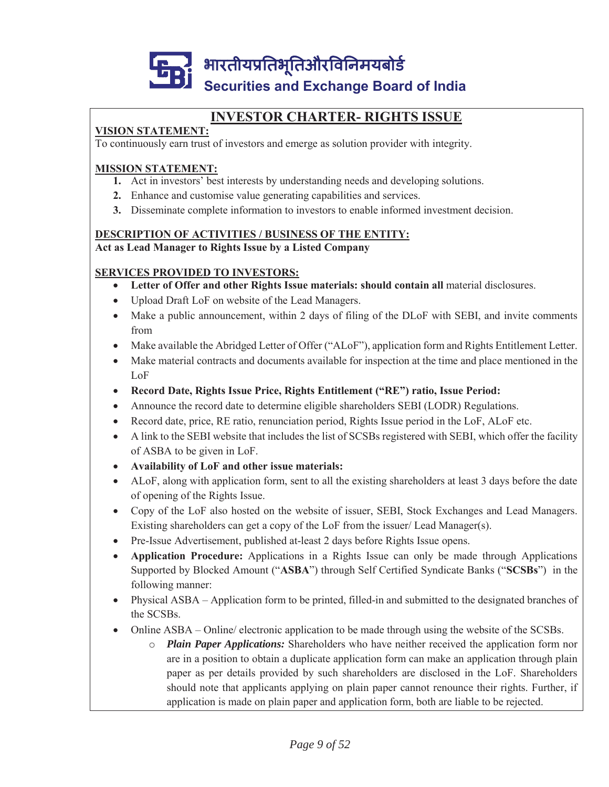

# **INVESTOR CHARTER- RIGHTS ISSUE**

## **VISION STATEMENT:**

To continuously earn trust of investors and emerge as solution provider with integrity.

### **MISSION STATEMENT:**

- **1.** Act in investors' best interests by understanding needs and developing solutions.
- **2.** Enhance and customise value generating capabilities and services.
- **3.** Disseminate complete information to investors to enable informed investment decision.

#### **DESCRIPTION OF ACTIVITIES / BUSINESS OF THE ENTITY: Act as Lead Manager to Rights Issue by a Listed Company**

### **SERVICES PROVIDED TO INVESTORS:**

- Letter of Offer and other Rights Issue materials: should contain all material disclosures.
- Upload Draft LoF on website of the Lead Managers.
- Make a public announcement, within 2 days of filing of the DLoF with SEBI, and invite comments from
- Make available the Abridged Letter of Offer ("ALoF"), application form and Rights Entitlement Letter.
- Make material contracts and documents available for inspection at the time and place mentioned in the LoF
- x **Record Date, Rights Issue Price, Rights Entitlement ("RE") ratio, Issue Period:**
- x Announce the record date to determine eligible shareholders SEBI (LODR) Regulations.
- Record date, price, RE ratio, renunciation period, Rights Issue period in the LoF, ALoF etc.
- A link to the SEBI website that includes the list of SCSBs registered with SEBI, which offer the facility of ASBA to be given in LoF.
- x **Availability of LoF and other issue materials:**
- ALoF, along with application form, sent to all the existing shareholders at least 3 days before the date of opening of the Rights Issue.
- Copy of the LoF also hosted on the website of issuer, SEBI, Stock Exchanges and Lead Managers. Existing shareholders can get a copy of the LoF from the issuer/ Lead Manager(s).
- Pre-Issue Advertisement, published at-least 2 days before Rights Issue opens.
- x **Application Procedure:** Applications in a Rights Issue can only be made through Applications Supported by Blocked Amount ("**ASBA**") through Self Certified Syndicate Banks ("**SCSBs**") in the following manner:
- Physical ASBA Application form to be printed, filled-in and submitted to the designated branches of the SCSBs.
- Online  $\text{ASBA}$  Online/ electronic application to be made through using the website of the SCSBs.
	- o *Plain Paper Applications:* Shareholders who have neither received the application form nor are in a position to obtain a duplicate application form can make an application through plain paper as per details provided by such shareholders are disclosed in the LoF. Shareholders should note that applicants applying on plain paper cannot renounce their rights. Further, if application is made on plain paper and application form, both are liable to be rejected.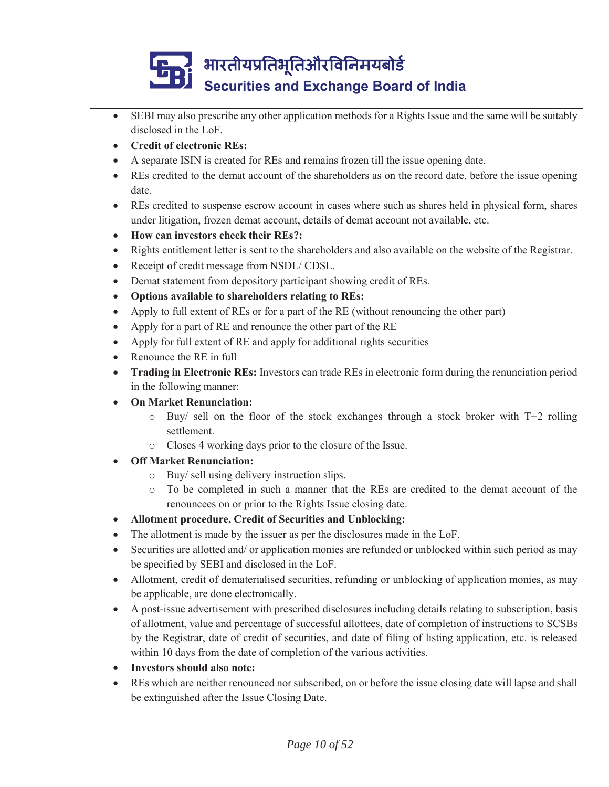- x SEBI may also prescribe any other application methods for a Rights Issue and the same will be suitably disclosed in the LoF.
- x **Credit of electronic REs:**
- x A separate ISIN is created for REs and remains frozen till the issue opening date.
- x REs credited to the demat account of the shareholders as on the record date, before the issue opening date.
- REs credited to suspense escrow account in cases where such as shares held in physical form, shares under litigation, frozen demat account, details of demat account not available, etc.
- x **How can investors check their REs?:**
- Rights entitlement letter is sent to the shareholders and also available on the website of the Registrar.
- Receipt of credit message from NSDL/ CDSL.
- Demat statement from depository participant showing credit of REs.
- Options available to shareholders relating to REs:
- Apply to full extent of REs or for a part of the RE (without renouncing the other part)
- Apply for a part of RE and renounce the other part of the RE
- Apply for full extent of RE and apply for additional rights securities
- Renounce the RE in full
- **Trading in Electronic REs:** Investors can trade REs in electronic form during the renunciation period in the following manner:
- **On Market Renunciation:** 
	- $\circ$  Buy/ sell on the floor of the stock exchanges through a stock broker with T+2 rolling settlement.
	- o Closes 4 working days prior to the closure of the Issue.
- **Off Market Renunciation:** 
	- o Buy/ sell using delivery instruction slips.
	- o To be completed in such a manner that the REs are credited to the demat account of the renouncees on or prior to the Rights Issue closing date.
- x **Allotment procedure, Credit of Securities and Unblocking:**
- The allotment is made by the issuer as per the disclosures made in the LoF.
- Securities are allotted and/ or application monies are refunded or unblocked within such period as may be specified by SEBI and disclosed in the LoF.
- Allotment, credit of dematerialised securities, refunding or unblocking of application monies, as may be applicable, are done electronically.
- A post-issue advertisement with prescribed disclosures including details relating to subscription, basis of allotment, value and percentage of successful allottees, date of completion of instructions to SCSBs by the Registrar, date of credit of securities, and date of filing of listing application, etc. is released within 10 days from the date of completion of the various activities.
- x **Investors should also note:**
- REs which are neither renounced nor subscribed, on or before the issue closing date will lapse and shall be extinguished after the Issue Closing Date.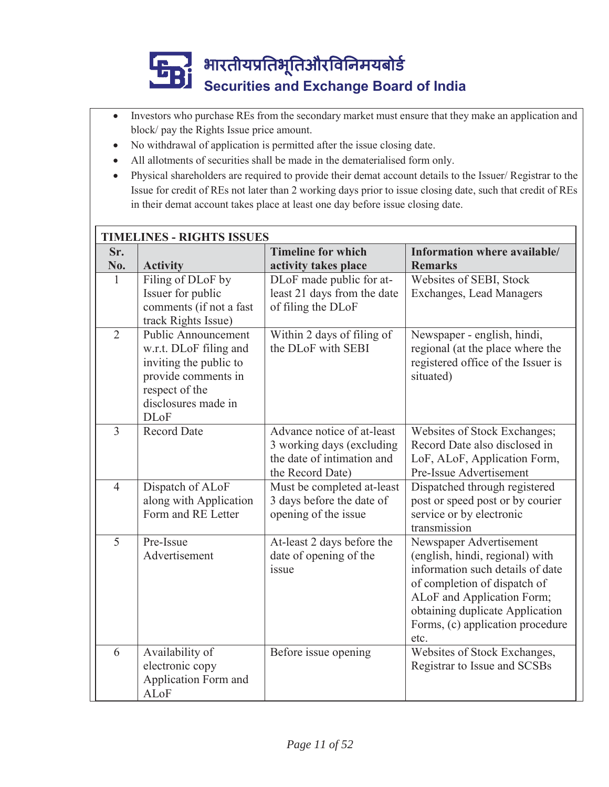- Investors who purchase REs from the secondary market must ensure that they make an application and block/ pay the Rights Issue price amount.
- No withdrawal of application is permitted after the issue closing date.
- All allotments of securities shall be made in the dematerialised form only.
- Physical shareholders are required to provide their demat account details to the Issuer/ Registrar to the Issue for credit of REs not later than 2 working days prior to issue closing date, such that credit of REs in their demat account takes place at least one day before issue closing date.

|                | <b>TIMELINES - RIGHTS ISSUES</b>                                                                                                                              |                                                                                                           |                                                                                                                                                                                                                                             |  |
|----------------|---------------------------------------------------------------------------------------------------------------------------------------------------------------|-----------------------------------------------------------------------------------------------------------|---------------------------------------------------------------------------------------------------------------------------------------------------------------------------------------------------------------------------------------------|--|
| Sr.            |                                                                                                                                                               | <b>Timeline for which</b>                                                                                 | Information where available/                                                                                                                                                                                                                |  |
| No.            | <b>Activity</b>                                                                                                                                               | activity takes place                                                                                      | <b>Remarks</b>                                                                                                                                                                                                                              |  |
| 1              | Filing of DLoF by<br>Issuer for public<br>comments (if not a fast<br>track Rights Issue)                                                                      | DLoF made public for at-<br>least 21 days from the date<br>of filing the DLoF                             | Websites of SEBI, Stock<br>Exchanges, Lead Managers                                                                                                                                                                                         |  |
| $\overline{2}$ | <b>Public Announcement</b><br>w.r.t. DLoF filing and<br>inviting the public to<br>provide comments in<br>respect of the<br>disclosures made in<br><b>DLoF</b> | Within 2 days of filing of<br>the DLoF with SEBI                                                          | Newspaper - english, hindi,<br>regional (at the place where the<br>registered office of the Issuer is<br>situated)                                                                                                                          |  |
| $\overline{3}$ | <b>Record Date</b>                                                                                                                                            | Advance notice of at-least<br>3 working days (excluding<br>the date of intimation and<br>the Record Date) | Websites of Stock Exchanges;<br>Record Date also disclosed in<br>LoF, ALoF, Application Form,<br>Pre-Issue Advertisement                                                                                                                    |  |
| $\overline{4}$ | Dispatch of ALoF<br>along with Application<br>Form and RE Letter                                                                                              | Must be completed at-least<br>3 days before the date of<br>opening of the issue                           | Dispatched through registered<br>post or speed post or by courier<br>service or by electronic<br>transmission                                                                                                                               |  |
| $\overline{5}$ | Pre-Issue<br>Advertisement                                                                                                                                    | At-least 2 days before the<br>date of opening of the<br>issue                                             | Newspaper Advertisement<br>(english, hindi, regional) with<br>information such details of date<br>of completion of dispatch of<br>ALoF and Application Form;<br>obtaining duplicate Application<br>Forms, (c) application procedure<br>etc. |  |
| 6              | Availability of<br>electronic copy<br>Application Form and<br>ALoF                                                                                            | Before issue opening                                                                                      | Websites of Stock Exchanges,<br>Registrar to Issue and SCSBs                                                                                                                                                                                |  |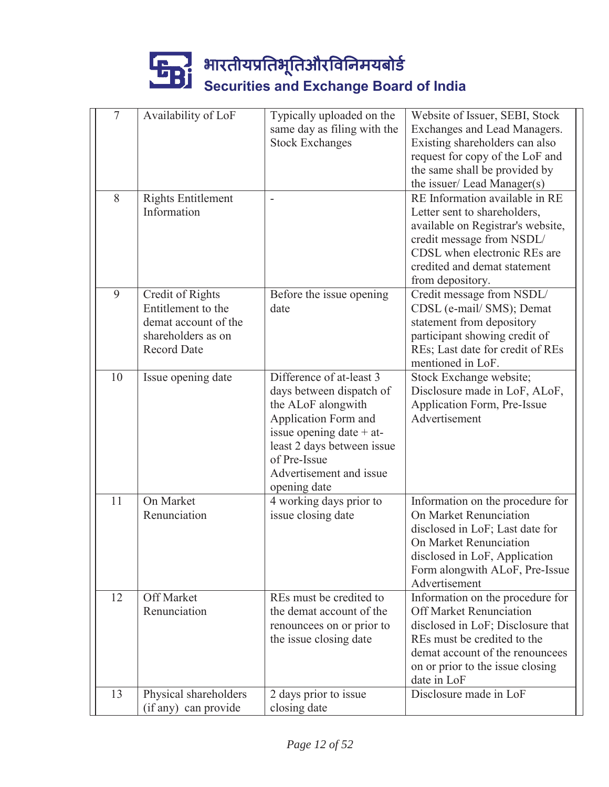| $\overline{7}$ | Availability of LoF                                                                                        | Typically uploaded on the<br>same day as filing with the<br><b>Stock Exchanges</b>                                                                                                                                        | Website of Issuer, SEBI, Stock<br>Exchanges and Lead Managers.<br>Existing shareholders can also<br>request for copy of the LoF and<br>the same shall be provided by<br>the issuer/ Lead Manager(s)                          |
|----------------|------------------------------------------------------------------------------------------------------------|---------------------------------------------------------------------------------------------------------------------------------------------------------------------------------------------------------------------------|------------------------------------------------------------------------------------------------------------------------------------------------------------------------------------------------------------------------------|
| 8              | <b>Rights Entitlement</b><br>Information                                                                   |                                                                                                                                                                                                                           | RE Information available in RE<br>Letter sent to shareholders,<br>available on Registrar's website,<br>credit message from NSDL/<br>CDSL when electronic REs are<br>credited and demat statement<br>from depository.         |
| 9              | Credit of Rights<br>Entitlement to the<br>demat account of the<br>shareholders as on<br><b>Record Date</b> | Before the issue opening<br>date                                                                                                                                                                                          | Credit message from NSDL/<br>CDSL (e-mail/ SMS); Demat<br>statement from depository<br>participant showing credit of<br>REs; Last date for credit of REs<br>mentioned in LoF.                                                |
| 10             | Issue opening date                                                                                         | Difference of at-least 3<br>days between dispatch of<br>the ALoF alongwith<br>Application Form and<br>issue opening date $+$ at-<br>least 2 days between issue<br>of Pre-Issue<br>Advertisement and issue<br>opening date | Stock Exchange website;<br>Disclosure made in LoF, ALoF,<br>Application Form, Pre-Issue<br>Advertisement                                                                                                                     |
| 11             | On Market<br>Renunciation                                                                                  | 4 working days prior to<br>issue closing date                                                                                                                                                                             | Information on the procedure for<br>On Market Renunciation<br>disclosed in LoF; Last date for<br>On Market Renunciation<br>disclosed in LoF, Application<br>Form alongwith ALoF, Pre-Issue<br>Advertisement                  |
| 12             | <b>Off Market</b><br>Renunciation                                                                          | REs must be credited to<br>the demat account of the<br>renouncees on or prior to<br>the issue closing date                                                                                                                | Information on the procedure for<br><b>Off Market Renunciation</b><br>disclosed in LoF; Disclosure that<br>REs must be credited to the<br>demat account of the renouncees<br>on or prior to the issue closing<br>date in LoF |
| 13             | Physical shareholders<br>(if any) can provide                                                              | 2 days prior to issue<br>closing date                                                                                                                                                                                     | Disclosure made in LoF                                                                                                                                                                                                       |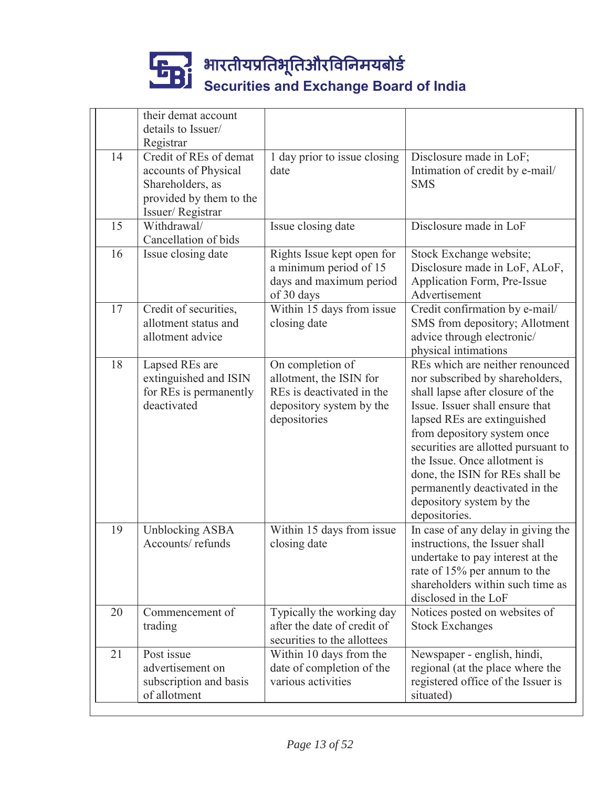|    | their demat account<br>details to Issuer/                                                                         |                                                                                                                      |                                                                                                                                                                                                                                                                                                                                                                                                  |
|----|-------------------------------------------------------------------------------------------------------------------|----------------------------------------------------------------------------------------------------------------------|--------------------------------------------------------------------------------------------------------------------------------------------------------------------------------------------------------------------------------------------------------------------------------------------------------------------------------------------------------------------------------------------------|
|    | Registrar                                                                                                         |                                                                                                                      |                                                                                                                                                                                                                                                                                                                                                                                                  |
| 14 | Credit of REs of demat<br>accounts of Physical<br>Shareholders, as<br>provided by them to the<br>Issuer/Registrar | 1 day prior to issue closing<br>date                                                                                 | Disclosure made in LoF;<br>Intimation of credit by e-mail/<br><b>SMS</b>                                                                                                                                                                                                                                                                                                                         |
| 15 | Withdrawal/<br>Cancellation of bids                                                                               | Issue closing date                                                                                                   | Disclosure made in LoF                                                                                                                                                                                                                                                                                                                                                                           |
| 16 | Issue closing date                                                                                                | Rights Issue kept open for<br>a minimum period of 15<br>days and maximum period<br>of 30 days                        | Stock Exchange website;<br>Disclosure made in LoF, ALoF,<br>Application Form, Pre-Issue<br>Advertisement                                                                                                                                                                                                                                                                                         |
| 17 | Credit of securities,<br>allotment status and<br>allotment advice                                                 | Within 15 days from issue<br>closing date                                                                            | Credit confirmation by e-mail/<br>SMS from depository; Allotment<br>advice through electronic/<br>physical intimations                                                                                                                                                                                                                                                                           |
| 18 | Lapsed REs are<br>extinguished and ISIN<br>for REs is permanently<br>deactivated                                  | On completion of<br>allotment, the ISIN for<br>REs is deactivated in the<br>depository system by the<br>depositories | REs which are neither renounced<br>nor subscribed by shareholders,<br>shall lapse after closure of the<br>Issue. Issuer shall ensure that<br>lapsed REs are extinguished<br>from depository system once<br>securities are allotted pursuant to<br>the Issue. Once allotment is<br>done, the ISIN for REs shall be<br>permanently deactivated in the<br>depository system by the<br>depositories. |
| 19 | <b>Unblocking ASBA</b><br>Accounts/refunds                                                                        | Within 15 days from issue<br>closing date                                                                            | In case of any delay in giving the<br>instructions, the Issuer shall<br>undertake to pay interest at the<br>rate of 15% per annum to the<br>shareholders within such time as<br>disclosed in the LoF                                                                                                                                                                                             |
| 20 | Commencement of<br>trading                                                                                        | Typically the working day<br>after the date of credit of<br>securities to the allottees                              | Notices posted on websites of<br><b>Stock Exchanges</b>                                                                                                                                                                                                                                                                                                                                          |
| 21 | Post issue<br>advertisement on<br>subscription and basis<br>of allotment                                          | Within 10 days from the<br>date of completion of the<br>various activities                                           | Newspaper - english, hindi,<br>regional (at the place where the<br>registered office of the Issuer is<br>situated)                                                                                                                                                                                                                                                                               |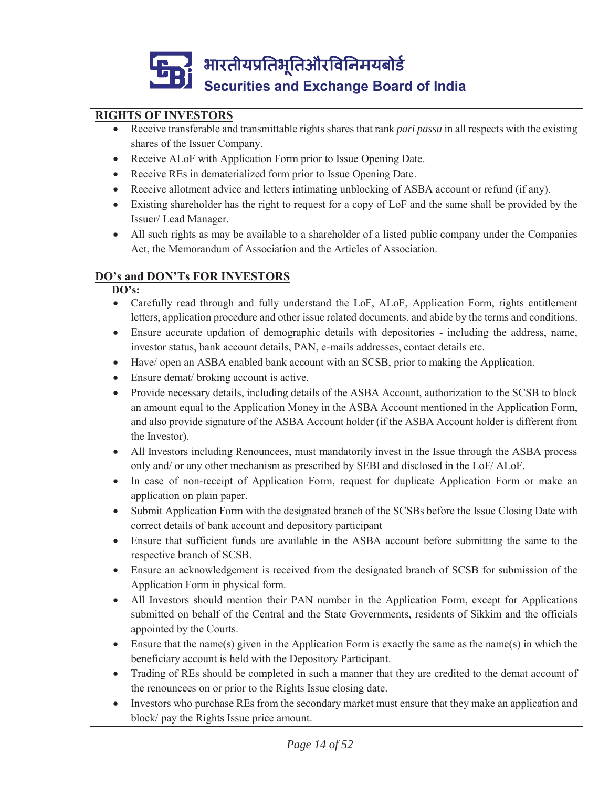# **RIGHTS OF INVESTORS**

- Receive transferable and transmittable rights shares that rank *pari passu* in all respects with the existing shares of the Issuer Company.
- Receive ALoF with Application Form prior to Issue Opening Date.
- Receive REs in dematerialized form prior to Issue Opening Date.
- x Receive allotment advice and letters intimating unblocking of ASBA account or refund (if any).
- Existing shareholder has the right to request for a copy of LoF and the same shall be provided by the Issuer/ Lead Manager.
- All such rights as may be available to a shareholder of a listed public company under the Companies Act, the Memorandum of Association and the Articles of Association.

# **DO's and DON'Ts FOR INVESTORS**

#### **DO's:**

- Carefully read through and fully understand the LoF, ALoF, Application Form, rights entitlement letters, application procedure and other issue related documents, and abide by the terms and conditions.
- Ensure accurate updation of demographic details with depositories including the address, name, investor status, bank account details, PAN, e-mails addresses, contact details etc.
- Have/ open an ASBA enabled bank account with an SCSB, prior to making the Application.
- Ensure demat/ broking account is active.
- Provide necessary details, including details of the ASBA Account, authorization to the SCSB to block an amount equal to the Application Money in the ASBA Account mentioned in the Application Form, and also provide signature of the ASBA Account holder (if the ASBA Account holder is different from the Investor).
- All Investors including Renouncees, must mandatorily invest in the Issue through the ASBA process only and/ or any other mechanism as prescribed by SEBI and disclosed in the LoF/ ALoF.
- In case of non-receipt of Application Form, request for duplicate Application Form or make an application on plain paper.
- Submit Application Form with the designated branch of the SCSBs before the Issue Closing Date with correct details of bank account and depository participant
- Ensure that sufficient funds are available in the ASBA account before submitting the same to the respective branch of SCSB.
- Ensure an acknowledgement is received from the designated branch of SCSB for submission of the Application Form in physical form.
- All Investors should mention their PAN number in the Application Form, except for Applications submitted on behalf of the Central and the State Governments, residents of Sikkim and the officials appointed by the Courts.
- Ensure that the name(s) given in the Application Form is exactly the same as the name(s) in which the beneficiary account is held with the Depository Participant.
- Trading of REs should be completed in such a manner that they are credited to the demat account of the renouncees on or prior to the Rights Issue closing date.
- Investors who purchase REs from the secondary market must ensure that they make an application and block/ pay the Rights Issue price amount.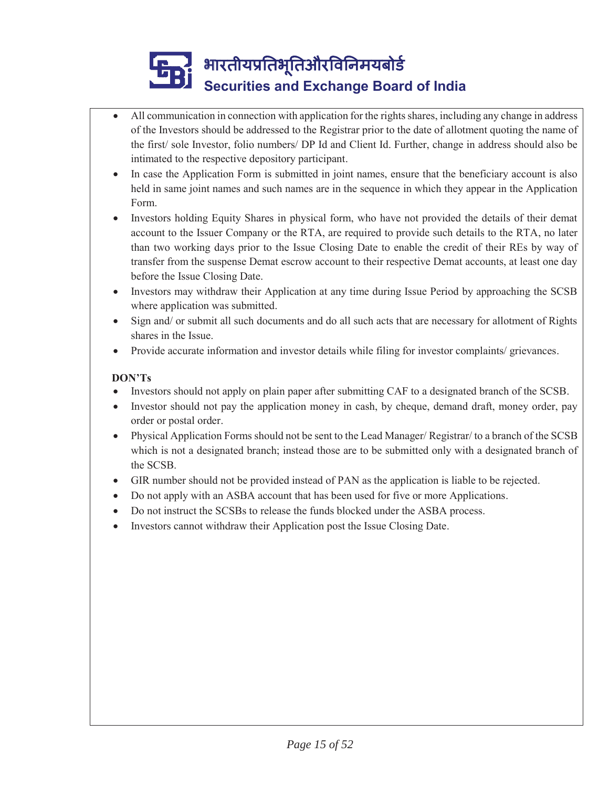- All communication in connection with application for the rights shares, including any change in address of the Investors should be addressed to the Registrar prior to the date of allotment quoting the name of the first/ sole Investor, folio numbers/ DP Id and Client Id. Further, change in address should also be intimated to the respective depository participant.
	- In case the Application Form is submitted in joint names, ensure that the beneficiary account is also held in same joint names and such names are in the sequence in which they appear in the Application Form.
- Investors holding Equity Shares in physical form, who have not provided the details of their demat account to the Issuer Company or the RTA, are required to provide such details to the RTA, no later than two working days prior to the Issue Closing Date to enable the credit of their REs by way of transfer from the suspense Demat escrow account to their respective Demat accounts, at least one day before the Issue Closing Date.
- Investors may withdraw their Application at any time during Issue Period by approaching the SCSB where application was submitted.
- Sign and/ or submit all such documents and do all such acts that are necessary for allotment of Rights shares in the Issue.
- Provide accurate information and investor details while filing for investor complaints/ grievances.

### **DON'Ts**

- Investors should not apply on plain paper after submitting CAF to a designated branch of the SCSB.
- Investor should not pay the application money in cash, by cheque, demand draft, money order, pay order or postal order.
- Physical Application Forms should not be sent to the Lead Manager/ Registrar/ to a branch of the SCSB which is not a designated branch; instead those are to be submitted only with a designated branch of the SCSB.
- GIR number should not be provided instead of PAN as the application is liable to be rejected.
- Do not apply with an ASBA account that has been used for five or more Applications.
- Do not instruct the SCSBs to release the funds blocked under the ASBA process.
- Investors cannot withdraw their Application post the Issue Closing Date.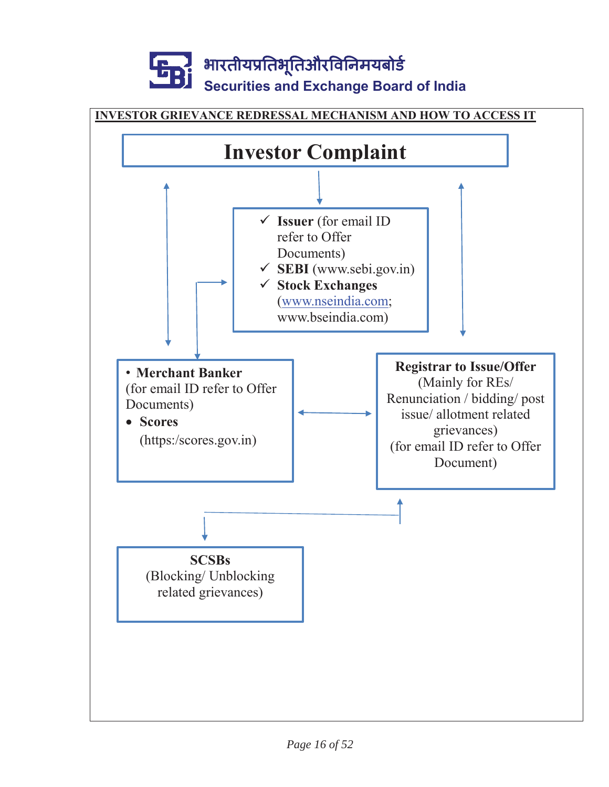

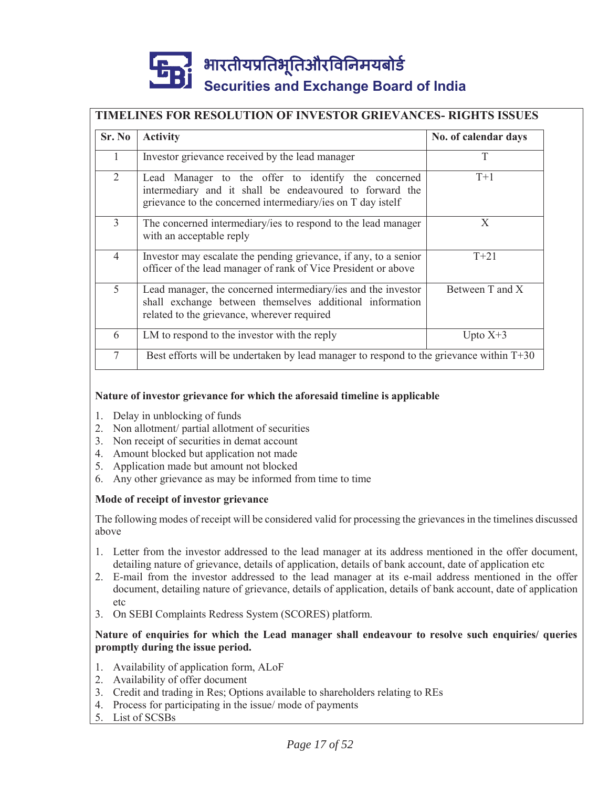### **TIMELINES FOR RESOLUTION OF INVESTOR GRIEVANCES- RIGHTS ISSUES**

| Sr. No         | <b>Activity</b>                                                                                                                                                               | No. of calendar days |
|----------------|-------------------------------------------------------------------------------------------------------------------------------------------------------------------------------|----------------------|
| 1              | Investor grievance received by the lead manager                                                                                                                               | T                    |
| 2              | Lead Manager to the offer to identify the concerned<br>intermediary and it shall be endeavoured to forward the<br>grievance to the concerned intermediary/ies on T day istelf | $T+1$                |
| $\mathcal{E}$  | The concerned intermediary/ies to respond to the lead manager<br>with an acceptable reply                                                                                     | X                    |
| $\overline{4}$ | Investor may escalate the pending grievance, if any, to a senior<br>officer of the lead manager of rank of Vice President or above                                            | $T + 21$             |
| 5              | Lead manager, the concerned intermediary/ies and the investor<br>shall exchange between themselves additional information<br>related to the grievance, wherever required      | Between T and X      |
| 6              | LM to respond to the investor with the reply                                                                                                                                  | Upto $X+3$           |
| 7              | Best efforts will be undertaken by lead manager to respond to the grievance within $T+30$                                                                                     |                      |

#### **Nature of investor grievance for which the aforesaid timeline is applicable**

- 1. Delay in unblocking of funds
- 2. Non allotment/ partial allotment of securities
- 3. Non receipt of securities in demat account
- 4. Amount blocked but application not made
- 5. Application made but amount not blocked
- 6. Any other grievance as may be informed from time to time

#### **Mode of receipt of investor grievance**

The following modes of receipt will be considered valid for processing the grievances in the timelines discussed above

- 1. Letter from the investor addressed to the lead manager at its address mentioned in the offer document, detailing nature of grievance, details of application, details of bank account, date of application etc
- 2. E-mail from the investor addressed to the lead manager at its e-mail address mentioned in the offer document, detailing nature of grievance, details of application, details of bank account, date of application  $eta$
- 3. On SEBI Complaints Redress System (SCORES) platform.

#### **Nature of enquiries for which the Lead manager shall endeavour to resolve such enquiries/ queries promptly during the issue period.**

- 1. Availability of application form, ALoF
- 2. Availability of offer document
- 3. Credit and trading in Res; Options available to shareholders relating to REs
- 4. Process for participating in the issue/ mode of payments
- 5. List of SCSBs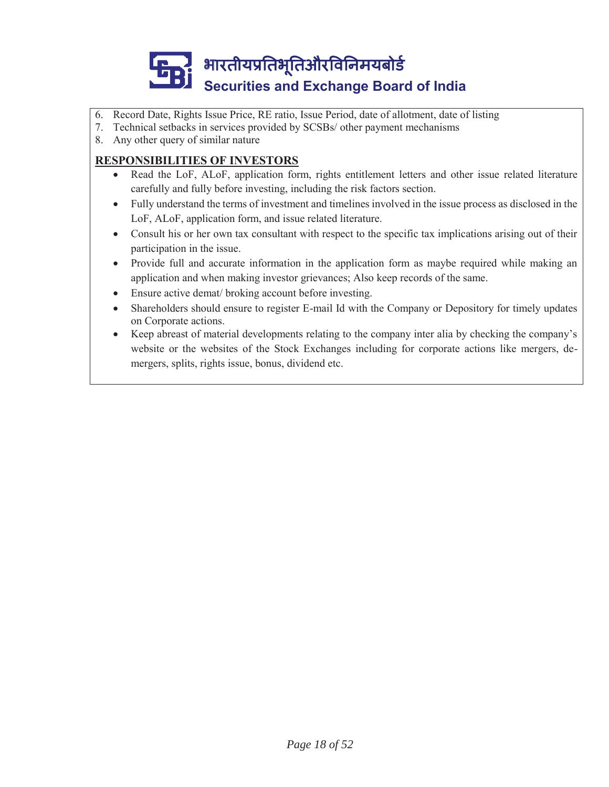

- 6. Record Date, Rights Issue Price, RE ratio, Issue Period, date of allotment, date of listing
- 7. Technical setbacks in services provided by SCSBs/ other payment mechanisms
- 8. Any other query of similar nature

### **RESPONSIBILITIES OF INVESTORS**

- Read the LoF, ALoF, application form, rights entitlement letters and other issue related literature carefully and fully before investing, including the risk factors section.
- Fully understand the terms of investment and timelines involved in the issue process as disclosed in the LoF, ALoF, application form, and issue related literature.
- Consult his or her own tax consultant with respect to the specific tax implications arising out of their participation in the issue.
- Provide full and accurate information in the application form as maybe required while making an application and when making investor grievances; Also keep records of the same.
- Ensure active demat/ broking account before investing.
- x Shareholders should ensure to register E-mail Id with the Company or Depository for timely updates on Corporate actions.
- x Keep abreast of material developments relating to the company inter alia by checking the company's website or the websites of the Stock Exchanges including for corporate actions like mergers, demergers, splits, rights issue, bonus, dividend etc.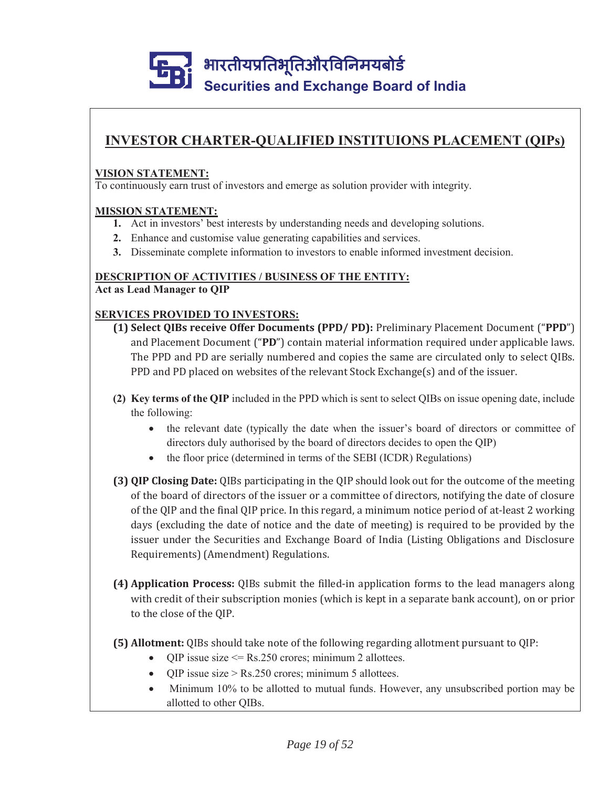# **INVESTOR CHARTER-QUALIFIED INSTITUIONS PLACEMENT (QIPs)**

#### **VISION STATEMENT:**

To continuously earn trust of investors and emerge as solution provider with integrity.

#### **MISSION STATEMENT:**

- **1.** Act in investors' best interests by understanding needs and developing solutions.
- **2.** Enhance and customise value generating capabilities and services.
- **3.** Disseminate complete information to investors to enable informed investment decision.

#### **DESCRIPTION OF ACTIVITIES / BUSINESS OF THE ENTITY:**

**Act as Lead Manager to QIP**

#### **SERVICES PROVIDED TO INVESTORS:**

- **(1) Select QIBs receive Offer Documents (PPD/ PD):** Preliminary Placement Document ("PPD") and Placement Document ("PD") contain material information required under applicable laws. The PPD and PD are serially numbered and copies the same are circulated only to select QIBs. PPD and PD placed on websites of the relevant Stock Exchange(s) and of the issuer.
- **(2) Key terms of the QIP** included in the PPD which is sent to select QIBs on issue opening date, include the following:
	- the relevant date (typically the date when the issuer's board of directors or committee of directors duly authorised by the board of directors decides to open the QIP)
	- $\bullet$  the floor price (determined in terms of the SEBI (ICDR) Regulations)
- **(3) QIP Closing Date:** of the board of directors of the issuer or a committee of directors, notifying the date of closure of the QIP and the final QIP price. In this regard, a minimum notice period of at-least 2 working days (excluding the date of notice and the date of meeting) is required to be provided by the issuer under the Securities and Exchange Board of India (Listing Obligations and Disclosure Requirements) (Amendment) Regulations.
- **(4) Application Process:** QIBs submit the filled-in application forms to the lead managers along with credit of their subscription monies (which is kept in a separate bank account), on or prior to the close of the QIP.
- **(5) Allotment:** QIBs should take note of the following regarding allotment pursuant to QIP:
	- QIP issue size  $\leq$  Rs.250 crores; minimum 2 allottees.
	- QIP issue size > Rs.250 crores; minimum 5 allottees.
	- Minimum 10% to be allotted to mutual funds. However, any unsubscribed portion may be allotted to other QIBs.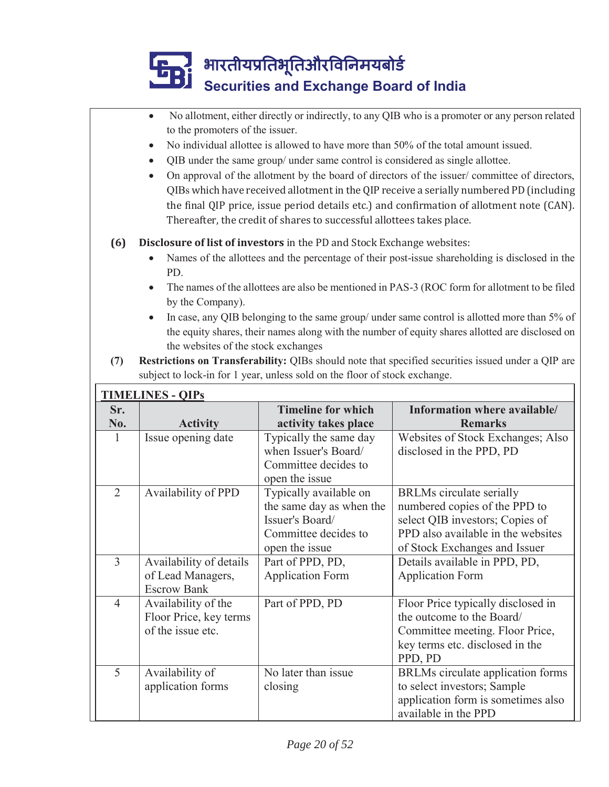|                | No allotment, either directly or indirectly, to any QIB who is a promoter or any person related<br>to the promoters of the issuer. |                                                                            |                                                                                                    |  |
|----------------|------------------------------------------------------------------------------------------------------------------------------------|----------------------------------------------------------------------------|----------------------------------------------------------------------------------------------------|--|
|                | No individual allottee is allowed to have more than 50% of the total amount issued.<br>$\bullet$                                   |                                                                            |                                                                                                    |  |
|                | QIB under the same group/ under same control is considered as single allottee.<br>$\bullet$                                        |                                                                            |                                                                                                    |  |
|                | On approval of the allotment by the board of directors of the issuer/committee of directors,<br>$\bullet$                          |                                                                            |                                                                                                    |  |
|                |                                                                                                                                    |                                                                            | QIBs which have received allotment in the QIP receive a serially numbered PD (including            |  |
|                |                                                                                                                                    |                                                                            | the final QIP price, issue period details etc.) and confirmation of allotment note (CAN).          |  |
|                |                                                                                                                                    | Thereafter, the credit of shares to successful allottees takes place.      |                                                                                                    |  |
|                |                                                                                                                                    |                                                                            |                                                                                                    |  |
| (6)            |                                                                                                                                    | Disclosure of list of investors in the PD and Stock Exchange websites:     | Names of the allottees and the percentage of their post-issue shareholding is disclosed in the     |  |
|                | PD.                                                                                                                                |                                                                            |                                                                                                    |  |
|                |                                                                                                                                    |                                                                            | The names of the allottees are also be mentioned in PAS-3 (ROC form for allotment to be filed      |  |
|                | by the Company).                                                                                                                   |                                                                            |                                                                                                    |  |
|                |                                                                                                                                    |                                                                            | In case, any QIB belonging to the same group/ under same control is allotted more than 5% of       |  |
|                |                                                                                                                                    |                                                                            | the equity shares, their names along with the number of equity shares allotted are disclosed on    |  |
|                | the websites of the stock exchanges                                                                                                |                                                                            |                                                                                                    |  |
| (7)            |                                                                                                                                    |                                                                            | Restrictions on Transferability: QIBs should note that specified securities issued under a QIP are |  |
|                |                                                                                                                                    | subject to lock-in for 1 year, unless sold on the floor of stock exchange. |                                                                                                    |  |
|                | <b>TIMELINES - QIPS</b>                                                                                                            |                                                                            |                                                                                                    |  |
| Sr.            |                                                                                                                                    | <b>Timeline for which</b>                                                  | Information where available/                                                                       |  |
|                |                                                                                                                                    |                                                                            |                                                                                                    |  |
| No.            | <b>Activity</b>                                                                                                                    | activity takes place                                                       | <b>Remarks</b>                                                                                     |  |
| $\mathbf{1}$   | Issue opening date                                                                                                                 | Typically the same day                                                     | Websites of Stock Exchanges; Also                                                                  |  |
|                |                                                                                                                                    | when Issuer's Board/                                                       | disclosed in the PPD, PD                                                                           |  |
|                |                                                                                                                                    | Committee decides to                                                       |                                                                                                    |  |
| $\overline{2}$ |                                                                                                                                    | open the issue                                                             |                                                                                                    |  |
|                | Availability of PPD                                                                                                                | Typically available on<br>the same day as when the                         | <b>BRLMs</b> circulate serially<br>numbered copies of the PPD to                                   |  |
|                |                                                                                                                                    | Issuer's Board/                                                            | select QIB investors; Copies of                                                                    |  |
|                |                                                                                                                                    | Committee decides to                                                       | PPD also available in the websites                                                                 |  |
|                |                                                                                                                                    | open the issue                                                             | of Stock Exchanges and Issuer                                                                      |  |
| 3              | Availability of details                                                                                                            | Part of PPD, PD,                                                           | Details available in PPD, PD,                                                                      |  |
|                | of Lead Managers,                                                                                                                  | <b>Application Form</b>                                                    | <b>Application Form</b>                                                                            |  |
|                | <b>Escrow Bank</b>                                                                                                                 |                                                                            |                                                                                                    |  |
| $\overline{4}$ | Availability of the                                                                                                                | Part of PPD, PD                                                            | Floor Price typically disclosed in                                                                 |  |
|                | Floor Price, key terms<br>of the issue etc.                                                                                        |                                                                            | the outcome to the Board/                                                                          |  |
|                |                                                                                                                                    |                                                                            | Committee meeting. Floor Price,<br>key terms etc. disclosed in the                                 |  |
|                |                                                                                                                                    |                                                                            | PPD, PD                                                                                            |  |
| 5              | Availability of                                                                                                                    | No later than issue                                                        | BRLMs circulate application forms                                                                  |  |
|                | application forms                                                                                                                  | closing                                                                    | to select investors; Sample                                                                        |  |
|                |                                                                                                                                    |                                                                            | application form is sometimes also<br>available in the PPD                                         |  |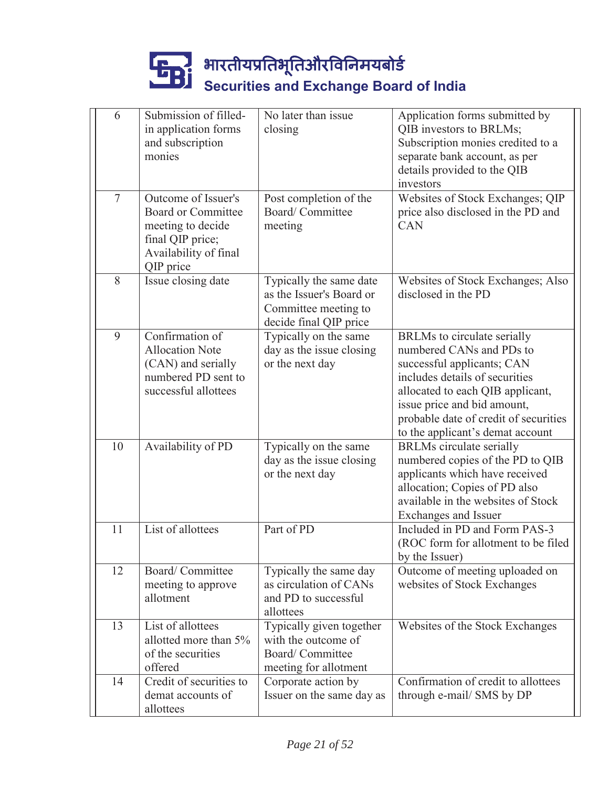| 6              | Submission of filled-<br>in application forms<br>and subscription                                                               | No later than issue<br>closing                                                                        | Application forms submitted by<br>QIB investors to BRLMs;<br>Subscription monies credited to a                                                                                                                                                                          |
|----------------|---------------------------------------------------------------------------------------------------------------------------------|-------------------------------------------------------------------------------------------------------|-------------------------------------------------------------------------------------------------------------------------------------------------------------------------------------------------------------------------------------------------------------------------|
|                | monies                                                                                                                          |                                                                                                       | separate bank account, as per<br>details provided to the QIB<br>investors                                                                                                                                                                                               |
| $\overline{7}$ | Outcome of Issuer's<br><b>Board or Committee</b><br>meeting to decide<br>final QIP price;<br>Availability of final<br>QIP price | Post completion of the<br>Board/Committee<br>meeting                                                  | Websites of Stock Exchanges; QIP<br>price also disclosed in the PD and<br>CAN                                                                                                                                                                                           |
| 8              | Issue closing date                                                                                                              | Typically the same date<br>as the Issuer's Board or<br>Committee meeting to<br>decide final QIP price | Websites of Stock Exchanges; Also<br>disclosed in the PD                                                                                                                                                                                                                |
| 9              | Confirmation of<br><b>Allocation Note</b><br>(CAN) and serially<br>numbered PD sent to<br>successful allottees                  | Typically on the same<br>day as the issue closing<br>or the next day                                  | BRLMs to circulate serially<br>numbered CANs and PDs to<br>successful applicants; CAN<br>includes details of securities<br>allocated to each QIB applicant,<br>issue price and bid amount,<br>probable date of credit of securities<br>to the applicant's demat account |
| 10             | Availability of PD                                                                                                              | Typically on the same<br>day as the issue closing<br>or the next day                                  | <b>BRLMs</b> circulate serially<br>numbered copies of the PD to QIB<br>applicants which have received<br>allocation; Copies of PD also<br>available in the websites of Stock<br>Exchanges and Issuer                                                                    |
| 11             | List of allottees                                                                                                               | Part of PD                                                                                            | Included in PD and Form PAS-3<br>(ROC form for allotment to be filed<br>by the Issuer)                                                                                                                                                                                  |
| 12             | Board/Committee<br>meeting to approve<br>allotment                                                                              | Typically the same day<br>as circulation of CANs<br>and PD to successful<br>allottees                 | Outcome of meeting uploaded on<br>websites of Stock Exchanges                                                                                                                                                                                                           |
| 13             | List of allottees<br>allotted more than 5%<br>of the securities<br>offered                                                      | Typically given together<br>with the outcome of<br>Board/Committee<br>meeting for allotment           | Websites of the Stock Exchanges                                                                                                                                                                                                                                         |
| 14             | Credit of securities to<br>demat accounts of<br>allottees                                                                       | Corporate action by<br>Issuer on the same day as                                                      | Confirmation of credit to allottees<br>through e-mail/ SMS by DP                                                                                                                                                                                                        |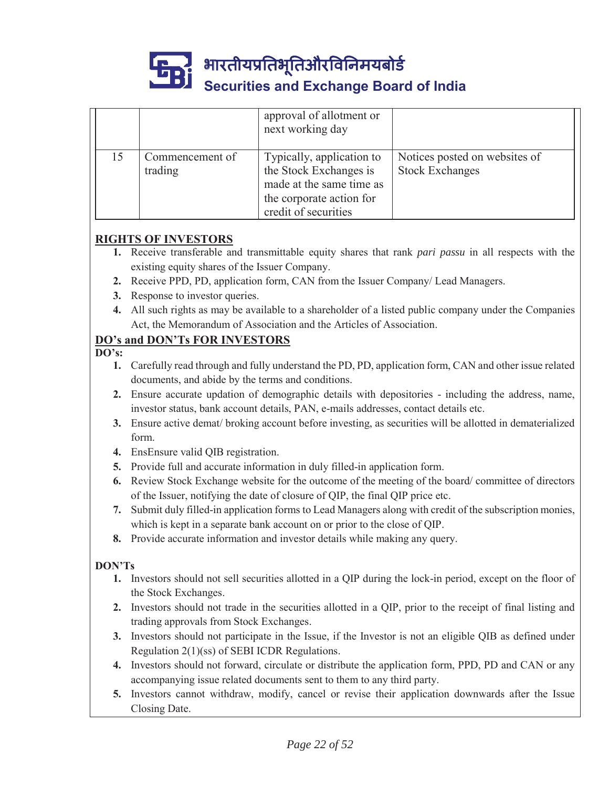

भारतीयप्रतिभूतिऔरविनिमयबोर्ड ू

# **Securities and Exchange Board of India**

|    |                            | approval of allotment or<br>next working day                                                                                        |                                                         |
|----|----------------------------|-------------------------------------------------------------------------------------------------------------------------------------|---------------------------------------------------------|
| 15 | Commencement of<br>trading | Typically, application to<br>the Stock Exchanges is<br>made at the same time as<br>the corporate action for<br>credit of securities | Notices posted on websites of<br><b>Stock Exchanges</b> |

#### **RIGHTS OF INVESTORS**

- **1.** Receive transferable and transmittable equity shares that rank *pari passu* in all respects with the existing equity shares of the Issuer Company.
- **2.** Receive PPD, PD, application form, CAN from the Issuer Company/ Lead Managers.
- **3.** Response to investor queries.
- **4.** All such rights as may be available to a shareholder of a listed public company under the Companies Act, the Memorandum of Association and the Articles of Association.

# **DO's and DON'Ts FOR INVESTORS**

**DO's:**

- **1.** Carefully read through and fully understand the PD, PD, application form, CAN and other issue related documents, and abide by the terms and conditions.
- **2.** Ensure accurate updation of demographic details with depositories including the address, name, investor status, bank account details, PAN, e-mails addresses, contact details etc.
- **3.** Ensure active demat/ broking account before investing, as securities will be allotted in dematerialized form.
- **4.** EnsEnsure valid QIB registration.
- **5.** Provide full and accurate information in duly filled-in application form.
- **6.** Review Stock Exchange website for the outcome of the meeting of the board/ committee of directors of the Issuer, notifying the date of closure of QIP, the final QIP price etc.
- **7.** Submit duly filled-in application forms to Lead Managers along with credit of the subscription monies, which is kept in a separate bank account on or prior to the close of QIP.
- **8.** Provide accurate information and investor details while making any query.

### **DON'Ts**

- **1.** Investors should not sell securities allotted in a QIP during the lock-in period, except on the floor of the Stock Exchanges.
- **2.** Investors should not trade in the securities allotted in a QIP, prior to the receipt of final listing and trading approvals from Stock Exchanges.
- **3.** Investors should not participate in the Issue, if the Investor is not an eligible QIB as defined under Regulation 2(1)(ss) of SEBI ICDR Regulations.
- **4.** Investors should not forward, circulate or distribute the application form, PPD, PD and CAN or any accompanying issue related documents sent to them to any third party.
- **5.** Investors cannot withdraw, modify, cancel or revise their application downwards after the Issue Closing Date.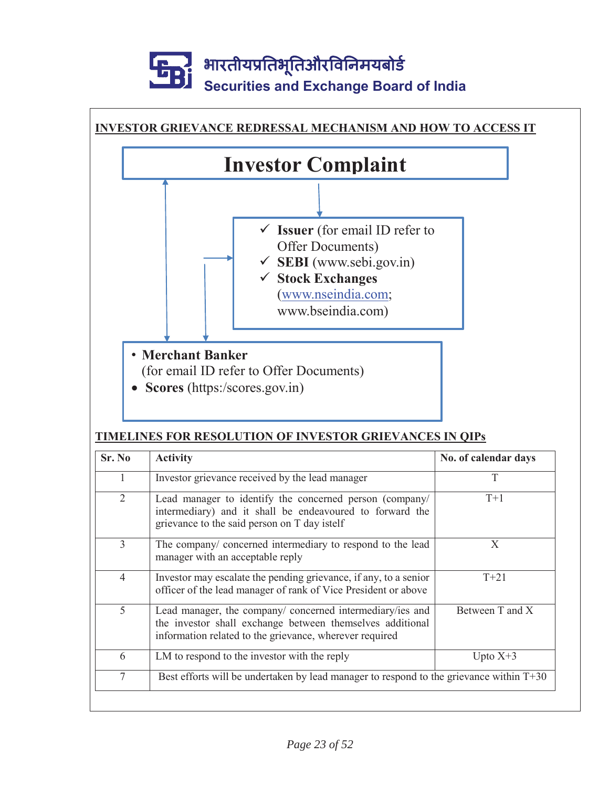

### **TIMELINES FOR RESOLUTION OF INVESTOR GRIEVANCES IN QIPs**

| Sr. No         | <b>Activity</b>                                                                                                                                                                   | No. of calendar days |
|----------------|-----------------------------------------------------------------------------------------------------------------------------------------------------------------------------------|----------------------|
|                | Investor grievance received by the lead manager                                                                                                                                   | T                    |
| $\overline{2}$ | Lead manager to identify the concerned person (company/<br>intermediary) and it shall be endeavoured to forward the<br>grievance to the said person on T day istelf               | $T+1$                |
| 3              | The company/ concerned intermediary to respond to the lead<br>manager with an acceptable reply                                                                                    | X                    |
| $\overline{4}$ | Investor may escalate the pending grievance, if any, to a senior<br>officer of the lead manager of rank of Vice President or above                                                | $T + 21$             |
| 5              | Lead manager, the company/ concerned intermediary/ies and<br>the investor shall exchange between themselves additional<br>information related to the grievance, wherever required | Between T and X      |
| 6              | LM to respond to the investor with the reply                                                                                                                                      | Upto $X+3$           |
| $\tau$         | Best efforts will be undertaken by lead manager to respond to the grievance within T+30                                                                                           |                      |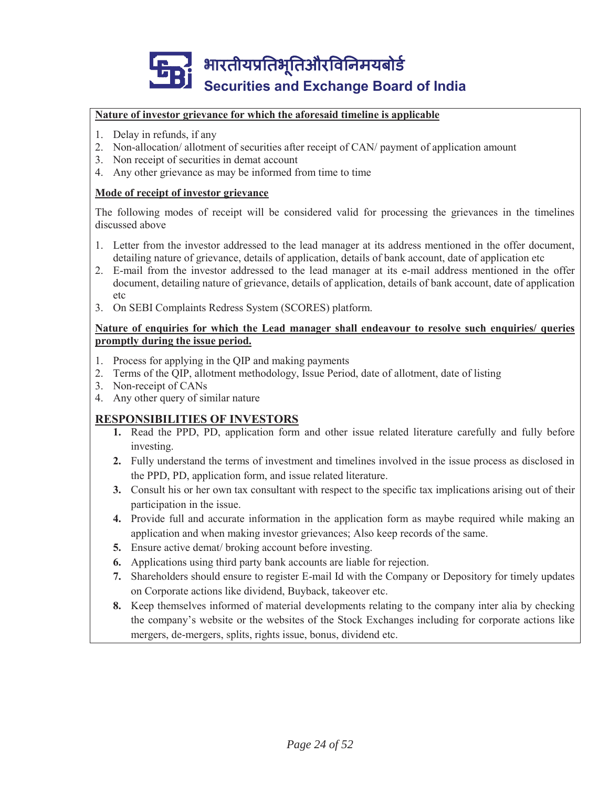#### **Nature of investor grievance for which the aforesaid timeline is applicable**

- 1. Delay in refunds, if any
- 2. Non-allocation/ allotment of securities after receipt of CAN/ payment of application amount
- 3. Non receipt of securities in demat account
- 4. Any other grievance as may be informed from time to time

#### **Mode of receipt of investor grievance**

The following modes of receipt will be considered valid for processing the grievances in the timelines discussed above

- 1. Letter from the investor addressed to the lead manager at its address mentioned in the offer document, detailing nature of grievance, details of application, details of bank account, date of application etc
- 2. E-mail from the investor addressed to the lead manager at its e-mail address mentioned in the offer document, detailing nature of grievance, details of application, details of bank account, date of application etc
- 3. On SEBI Complaints Redress System (SCORES) platform.

#### **Nature of enquiries for which the Lead manager shall endeavour to resolve such enquiries/ queries promptly during the issue period.**

- 1. Process for applying in the QIP and making payments
- 2. Terms of the QIP, allotment methodology, Issue Period, date of allotment, date of listing
- 3. Non-receipt of CANs
- 4. Any other query of similar nature

#### **RESPONSIBILITIES OF INVESTORS**

- **1.** Read the PPD, PD, application form and other issue related literature carefully and fully before investing.
- **2.** Fully understand the terms of investment and timelines involved in the issue process as disclosed in the PPD, PD, application form, and issue related literature.
- **3.** Consult his or her own tax consultant with respect to the specific tax implications arising out of their participation in the issue.
- **4.** Provide full and accurate information in the application form as maybe required while making an application and when making investor grievances; Also keep records of the same.
- **5.** Ensure active demat/ broking account before investing.
- **6.** Applications using third party bank accounts are liable for rejection.
- **7.** Shareholders should ensure to register E-mail Id with the Company or Depository for timely updates on Corporate actions like dividend, Buyback, takeover etc.
- **8.** Keep themselves informed of material developments relating to the company inter alia by checking the company's website or the websites of the Stock Exchanges including for corporate actions like mergers, de-mergers, splits, rights issue, bonus, dividend etc.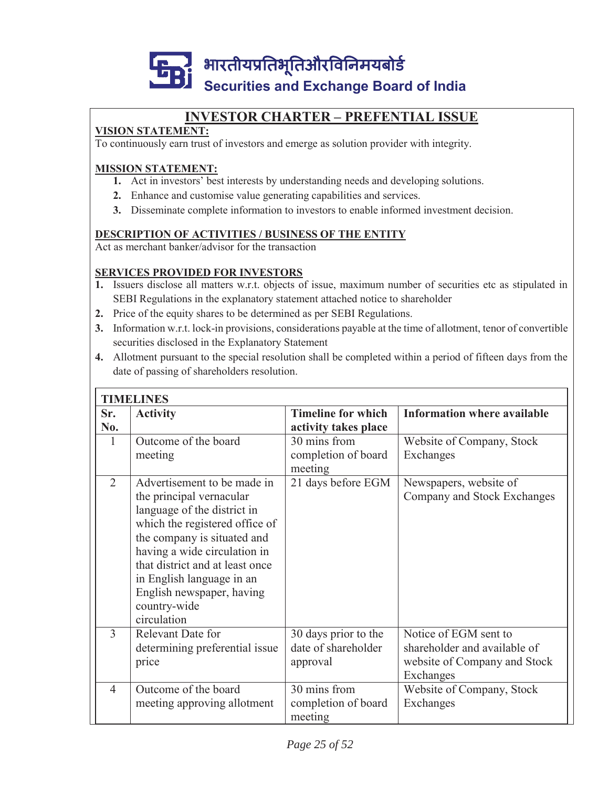

# **INVESTOR CHARTER – PREFENTIAL ISSUE**

### **VISION STATEMENT:**

To continuously earn trust of investors and emerge as solution provider with integrity.

### **MISSION STATEMENT:**

- **1.** Act in investors' best interests by understanding needs and developing solutions.
- **2.** Enhance and customise value generating capabilities and services.
- **3.** Disseminate complete information to investors to enable informed investment decision.

#### **DESCRIPTION OF ACTIVITIES / BUSINESS OF THE ENTITY**

Act as merchant banker/advisor for the transaction

#### **SERVICES PROVIDED FOR INVESTORS**

- **1.** Issuers disclose all matters w.r.t. objects of issue, maximum number of securities etc as stipulated in SEBI Regulations in the explanatory statement attached notice to shareholder
- **2.** Price of the equity shares to be determined as per SEBI Regulations.
- **3.** Information w.r.t. lock-in provisions, considerations payable at the time of allotment, tenor of convertible securities disclosed in the Explanatory Statement
- **4.** Allotment pursuant to the special resolution shall be completed within a period of fifteen days from the date of passing of shareholders resolution.

|                | <b>TIMELINES</b>                                                                                                                                                                                                                                                                                                    |                                                         |                                                                                                    |  |  |
|----------------|---------------------------------------------------------------------------------------------------------------------------------------------------------------------------------------------------------------------------------------------------------------------------------------------------------------------|---------------------------------------------------------|----------------------------------------------------------------------------------------------------|--|--|
| Sr.<br>No.     | <b>Activity</b>                                                                                                                                                                                                                                                                                                     | <b>Timeline for which</b><br>activity takes place       | <b>Information where available</b>                                                                 |  |  |
| 1              | Outcome of the board<br>meeting                                                                                                                                                                                                                                                                                     | 30 mins from<br>completion of board<br>meeting          | Website of Company, Stock<br>Exchanges                                                             |  |  |
| $\overline{2}$ | Advertisement to be made in<br>the principal vernacular<br>language of the district in<br>which the registered office of<br>the company is situated and<br>having a wide circulation in<br>that district and at least once<br>in English language in an<br>English newspaper, having<br>country-wide<br>circulation | 21 days before EGM                                      | Newspapers, website of<br>Company and Stock Exchanges                                              |  |  |
| 3              | Relevant Date for<br>determining preferential issue<br>price                                                                                                                                                                                                                                                        | 30 days prior to the<br>date of shareholder<br>approval | Notice of EGM sent to<br>shareholder and available of<br>website of Company and Stock<br>Exchanges |  |  |
| $\overline{4}$ | Outcome of the board<br>meeting approving allotment                                                                                                                                                                                                                                                                 | 30 mins from<br>completion of board<br>meeting          | Website of Company, Stock<br>Exchanges                                                             |  |  |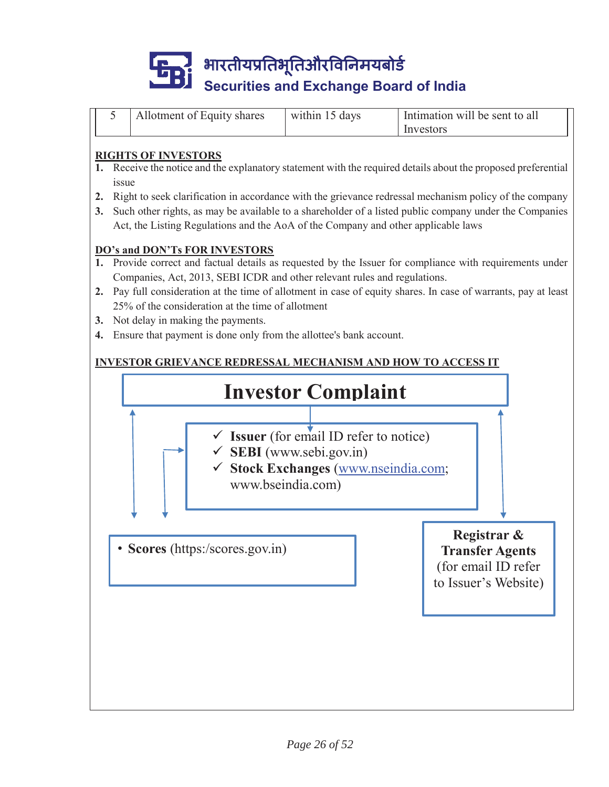

|  | Allotment of Equity shares | within 15 days | Intimation will be sent to all |
|--|----------------------------|----------------|--------------------------------|
|  |                            |                | Investors                      |

#### **RIGHTS OF INVESTORS**

- **1.** Receive the notice and the explanatory statement with the required details about the proposed preferential issue
- **2.** Right to seek clarification in accordance with the grievance redressal mechanism policy of the company
- **3.** Such other rights, as may be available to a shareholder of a listed public company under the Companies Act, the Listing Regulations and the AoA of the Company and other applicable laws

#### **DO's and DON'Ts FOR INVESTORS**

- **1.** Provide correct and factual details as requested by the Issuer for compliance with requirements under Companies, Act, 2013, SEBI ICDR and other relevant rules and regulations.
- **2.** Pay full consideration at the time of allotment in case of equity shares. In case of warrants, pay at least 25% of the consideration at the time of allotment
- **3.** Not delay in making the payments.
- **4.** Ensure that payment is done only from the allottee's bank account.

### **INVESTOR GRIEVANCE REDRESSAL MECHANISM AND HOW TO ACCESS IT**

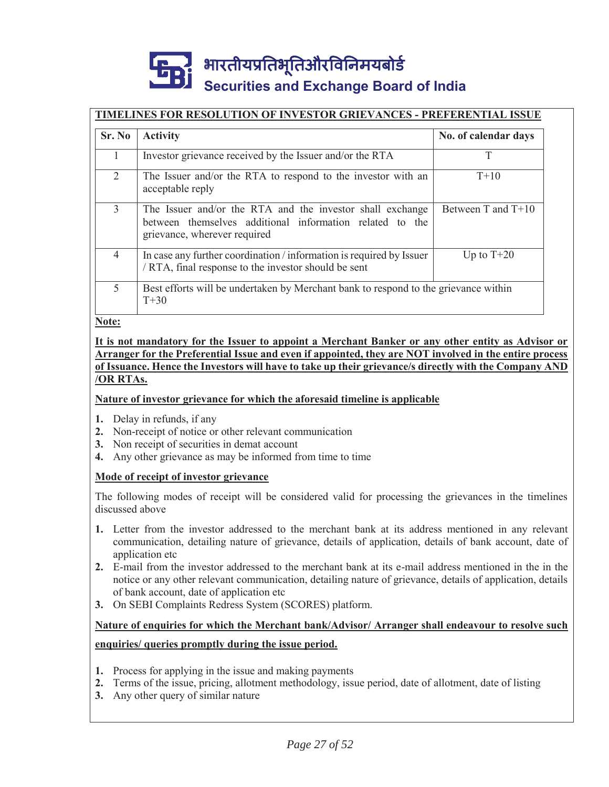#### **TIMELINES FOR RESOLUTION OF INVESTOR GRIEVANCES - PREFERENTIAL ISSUE**

| Sr. No         | <b>Activity</b>                                                                                                                                       | No. of calendar days |
|----------------|-------------------------------------------------------------------------------------------------------------------------------------------------------|----------------------|
|                | Investor grievance received by the Issuer and/or the RTA                                                                                              |                      |
| $\overline{2}$ | The Issuer and/or the RTA to respond to the investor with an<br>acceptable reply                                                                      | $T+10$               |
| 3              | The Issuer and/or the RTA and the investor shall exchange<br>between themselves additional information related to the<br>grievance, wherever required | Between T and $T+10$ |
| $\overline{4}$ | In case any further coordination / information is required by Issuer<br>/ RTA, final response to the investor should be sent                          | Up to $T+20$         |
| 5              | Best efforts will be undertaken by Merchant bank to respond to the grievance within<br>$T+30$                                                         |                      |

**Note:**

#### **It is not mandatory for the Issuer to appoint a Merchant Banker or any other entity as Advisor or Arranger for the Preferential Issue and even if appointed, they are NOT involved in the entire process of Issuance. Hence the Investors will have to take up their grievance/s directly with the Company AND /OR RTAs.**

#### **Nature of investor grievance for which the aforesaid timeline is applicable**

- **1.** Delay in refunds, if any
- **2.** Non-receipt of notice or other relevant communication
- **3.** Non receipt of securities in demat account
- **4.** Any other grievance as may be informed from time to time

#### **Mode of receipt of investor grievance**

The following modes of receipt will be considered valid for processing the grievances in the timelines discussed above

- **1.** Letter from the investor addressed to the merchant bank at its address mentioned in any relevant communication, detailing nature of grievance, details of application, details of bank account, date of application etc
- **2.** E-mail from the investor addressed to the merchant bank at its e-mail address mentioned in the in the notice or any other relevant communication, detailing nature of grievance, details of application, details of bank account, date of application etc
- **3.** On SEBI Complaints Redress System (SCORES) platform.

### **Nature of enquiries for which the Merchant bank/Advisor/ Arranger shall endeavour to resolve such enquiries/ queries promptly during the issue period.**

- **1.** Process for applying in the issue and making payments
- **2.** Terms of the issue, pricing, allotment methodology, issue period, date of allotment, date of listing
- **3.** Any other query of similar nature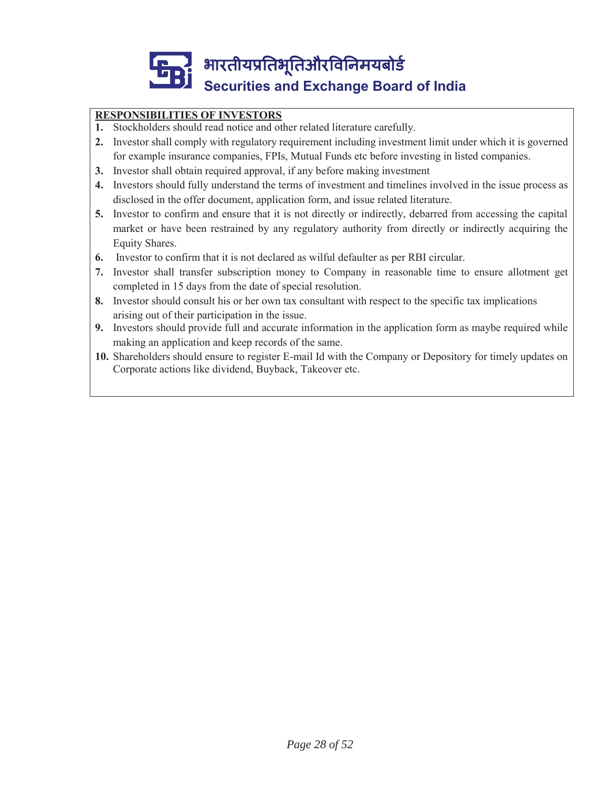### **RESPONSIBILITIES OF INVESTORS**

- **1.** Stockholders should read notice and other related literature carefully.
- **2.** Investor shall comply with regulatory requirement including investment limit under which it is governed for example insurance companies, FPIs, Mutual Funds etc before investing in listed companies.
- **3.** Investor shall obtain required approval, if any before making investment
- **4.** Investors should fully understand the terms of investment and timelines involved in the issue process as disclosed in the offer document, application form, and issue related literature.
- **5.** Investor to confirm and ensure that it is not directly or indirectly, debarred from accessing the capital market or have been restrained by any regulatory authority from directly or indirectly acquiring the Equity Shares.
- **6.** Investor to confirm that it is not declared as wilful defaulter as per RBI circular.
- **7.** Investor shall transfer subscription money to Company in reasonable time to ensure allotment get completed in 15 days from the date of special resolution.
- **8.** Investor should consult his or her own tax consultant with respect to the specific tax implications arising out of their participation in the issue.
- **9.** Investors should provide full and accurate information in the application form as maybe required while making an application and keep records of the same.
- **10.** Shareholders should ensure to register E-mail Id with the Company or Depository for timely updates on Corporate actions like dividend, Buyback, Takeover etc.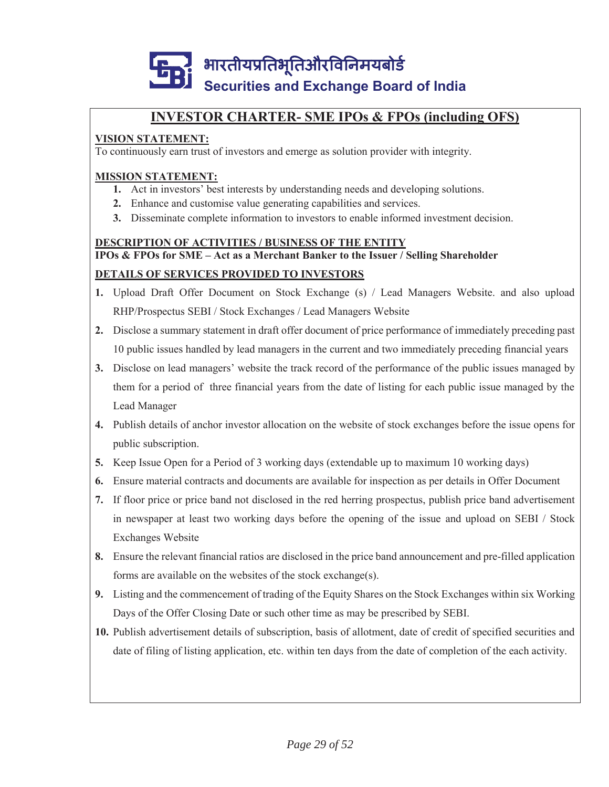

# **INVESTOR CHARTER- SME IPOs & FPOs (including OFS)**

### **VISION STATEMENT:**

To continuously earn trust of investors and emerge as solution provider with integrity.

#### **MISSION STATEMENT:**

- **1.** Act in investors' best interests by understanding needs and developing solutions.
- **2.** Enhance and customise value generating capabilities and services.
- **3.** Disseminate complete information to investors to enable informed investment decision.

#### **DESCRIPTION OF ACTIVITIES / BUSINESS OF THE ENTITY**

#### **IPOs & FPOs for SME – Act as a Merchant Banker to the Issuer / Selling Shareholder**

#### **DETAILS OF SERVICES PROVIDED TO INVESTORS**

- **1.** Upload Draft Offer Document on Stock Exchange (s) / Lead Managers Website. and also upload RHP/Prospectus SEBI / Stock Exchanges / Lead Managers Website
- **2.** Disclose a summary statement in draft offer document of price performance of immediately preceding past 10 public issues handled by lead managers in the current and two immediately preceding financial years
- **3.** Disclose on lead managers' website the track record of the performance of the public issues managed by them for a period of three financial years from the date of listing for each public issue managed by the Lead Manager
- **4.** Publish details of anchor investor allocation on the website of stock exchanges before the issue opens for public subscription.
- **5.** Keep Issue Open for a Period of 3 working days (extendable up to maximum 10 working days)
- **6.** Ensure material contracts and documents are available for inspection as per details in Offer Document
- **7.** If floor price or price band not disclosed in the red herring prospectus, publish price band advertisement in newspaper at least two working days before the opening of the issue and upload on SEBI / Stock Exchanges Website
- **8.** Ensure the relevant financial ratios are disclosed in the price band announcement and pre-filled application forms are available on the websites of the stock exchange(s).
- **9.** Listing and the commencement of trading of the Equity Shares on the Stock Exchanges within six Working Days of the Offer Closing Date or such other time as may be prescribed by SEBI.
- **10.** Publish advertisement details of subscription, basis of allotment, date of credit of specified securities and date of filing of listing application, etc. within ten days from the date of completion of the each activity.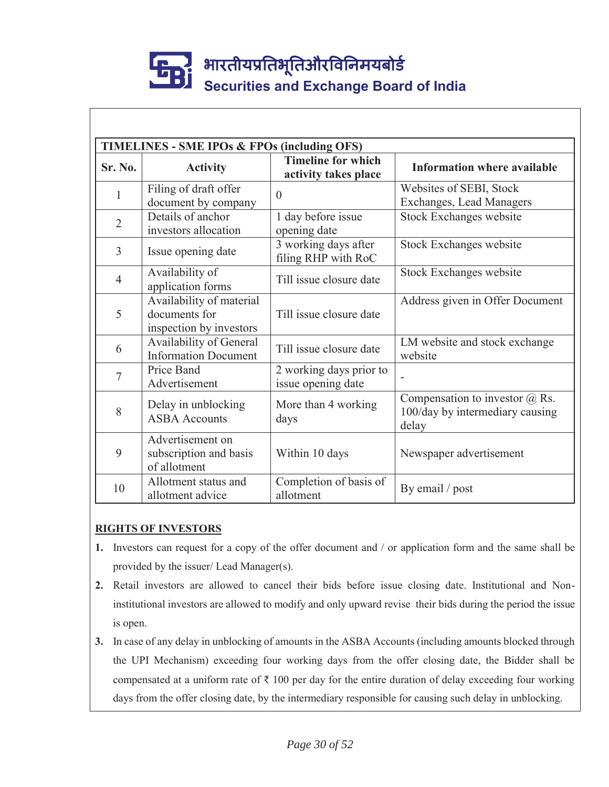| <b>TIMELINES - SME IPOs &amp; FPOs (including OFS)</b> |                                                                      |                                                   |                                                                                   |  |
|--------------------------------------------------------|----------------------------------------------------------------------|---------------------------------------------------|-----------------------------------------------------------------------------------|--|
| <b>Sr. No.</b>                                         | <b>Activity</b>                                                      | <b>Timeline for which</b><br>activity takes place | <b>Information where available</b>                                                |  |
| $\mathbf{1}$                                           | Filing of draft offer<br>document by company                         | $\theta$                                          | Websites of SEBI, Stock<br>Exchanges, Lead Managers                               |  |
| $\overline{2}$                                         | Details of anchor<br>investors allocation                            | 1 day before issue<br>opening date                | Stock Exchanges website                                                           |  |
| $\overline{3}$                                         | Issue opening date                                                   | 3 working days after<br>filing RHP with RoC       | Stock Exchanges website                                                           |  |
| $\overline{4}$                                         | Availability of<br>application forms                                 | Till issue closure date                           | Stock Exchanges website                                                           |  |
| 5                                                      | Availability of material<br>documents for<br>inspection by investors | Till issue closure date                           | Address given in Offer Document                                                   |  |
| 6                                                      | Availability of General<br><b>Information Document</b>               | Till issue closure date                           | LM website and stock exchange<br>website                                          |  |
| $\overline{7}$                                         | Price Band<br>Advertisement                                          | 2 working days prior to<br>issue opening date     |                                                                                   |  |
| 8                                                      | Delay in unblocking<br><b>ASBA</b> Accounts                          | More than 4 working<br>days                       | Compensation to investor $\omega$ Rs.<br>100/day by intermediary causing<br>delay |  |
| 9                                                      | Advertisement on<br>subscription and basis<br>of allotment           | Within 10 days                                    | Newspaper advertisement                                                           |  |
| 10                                                     | Allotment status and<br>allotment advice                             | Completion of basis of<br>allotment               | By email / post                                                                   |  |

### **RIGHTS OF INVESTORS**

- **1.** Investors can request for a copy of the offer document and / or application form and the same shall be provided by the issuer/ Lead Manager(s).
- **2.** Retail investors are allowed to cancel their bids before issue closing date. Institutional and Noninstitutional investors are allowed to modify and only upward revise their bids during the period the issue is open.
- **3.** In case of any delay in unblocking of amounts in the ASBA Accounts (including amounts blocked through the UPI Mechanism) exceeding four working days from the offer closing date, the Bidder shall be compensated at a uniform rate of ₹ 100 per day for the entire duration of delay exceeding four working days from the offer closing date, by the intermediary responsible for causing such delay in unblocking.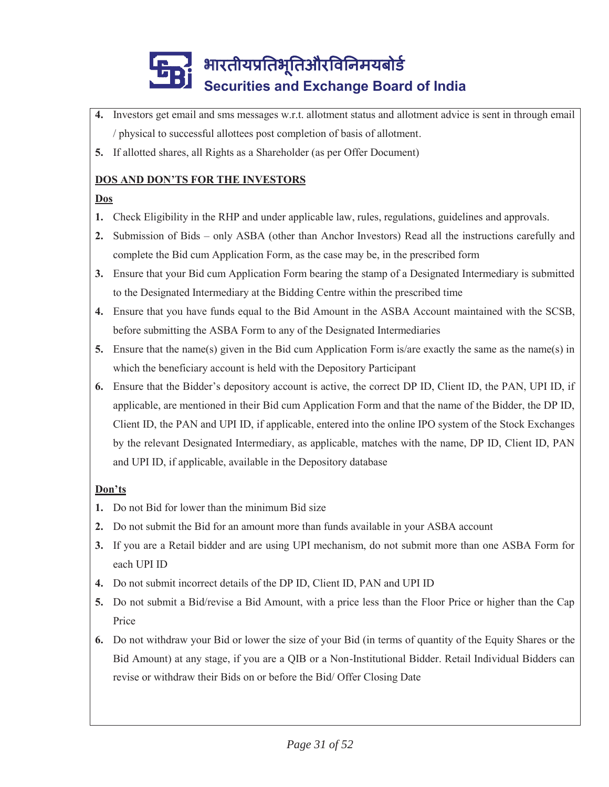- **4.** Investors get email and sms messages w.r.t. allotment status and allotment advice is sent in through email / physical to successful allottees post completion of basis of allotment.
- **5.** If allotted shares, all Rights as a Shareholder (as per Offer Document)

### **DOS AND DON'TS FOR THE INVESTORS**

### **Dos**

- **1.** Check Eligibility in the RHP and under applicable law, rules, regulations, guidelines and approvals.
- **2.** Submission of Bids only ASBA (other than Anchor Investors) Read all the instructions carefully and complete the Bid cum Application Form, as the case may be, in the prescribed form
- **3.** Ensure that your Bid cum Application Form bearing the stamp of a Designated Intermediary is submitted to the Designated Intermediary at the Bidding Centre within the prescribed time
- **4.** Ensure that you have funds equal to the Bid Amount in the ASBA Account maintained with the SCSB, before submitting the ASBA Form to any of the Designated Intermediaries
- **5.** Ensure that the name(s) given in the Bid cum Application Form is/are exactly the same as the name(s) in which the beneficiary account is held with the Depository Participant
- **6.** Ensure that the Bidder's depository account is active, the correct DP ID, Client ID, the PAN, UPI ID, if applicable, are mentioned in their Bid cum Application Form and that the name of the Bidder, the DP ID, Client ID, the PAN and UPI ID, if applicable, entered into the online IPO system of the Stock Exchanges by the relevant Designated Intermediary, as applicable, matches with the name, DP ID, Client ID, PAN and UPI ID, if applicable, available in the Depository database

### **Don'ts**

- **1.** Do not Bid for lower than the minimum Bid size
- **2.** Do not submit the Bid for an amount more than funds available in your ASBA account
- **3.** If you are a Retail bidder and are using UPI mechanism, do not submit more than one ASBA Form for each UPI ID
- **4.** Do not submit incorrect details of the DP ID, Client ID, PAN and UPI ID
- **5.** Do not submit a Bid/revise a Bid Amount, with a price less than the Floor Price or higher than the Cap Price
- **6.** Do not withdraw your Bid or lower the size of your Bid (in terms of quantity of the Equity Shares or the Bid Amount) at any stage, if you are a QIB or a Non-Institutional Bidder. Retail Individual Bidders can revise or withdraw their Bids on or before the Bid/ Offer Closing Date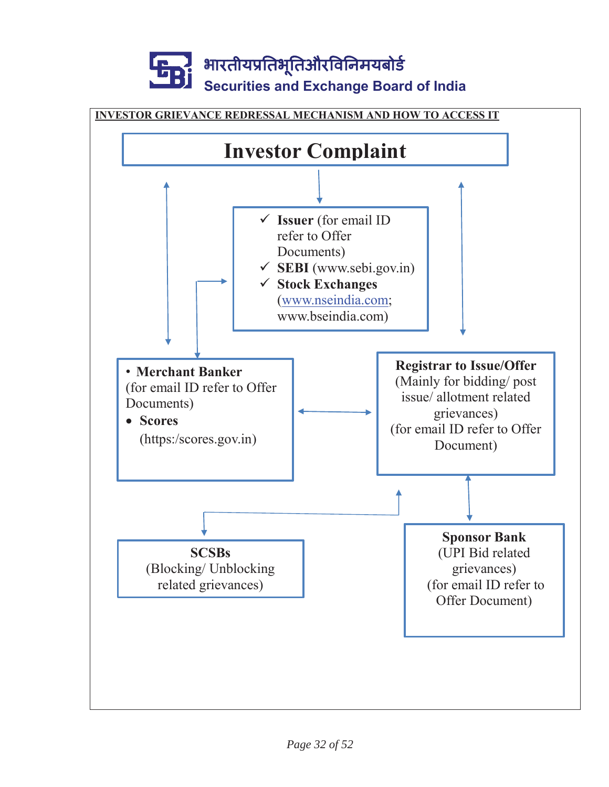

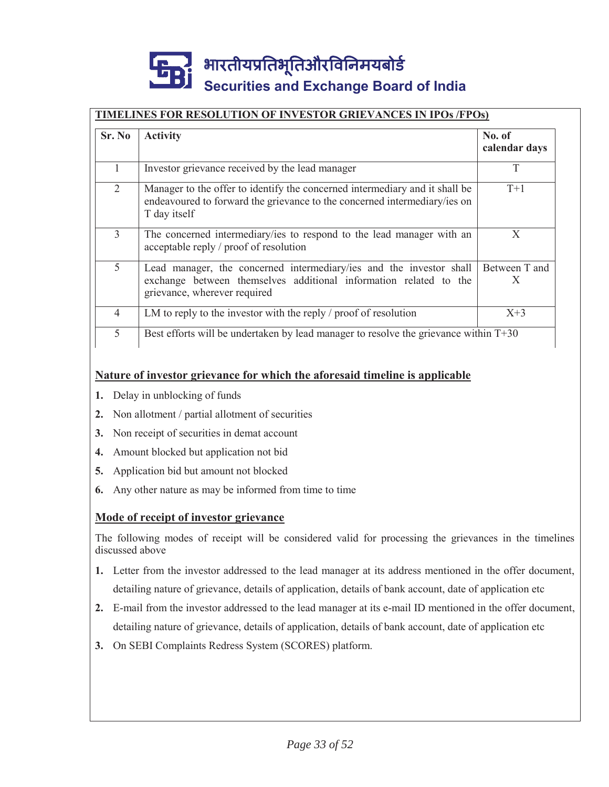#### **TIMELINES FOR RESOLUTION OF INVESTOR GRIEVANCES IN IPOs /FPOs)**

| Sr. No         | <b>Activity</b>                                                                                                                                                          | No. of<br>calendar days |
|----------------|--------------------------------------------------------------------------------------------------------------------------------------------------------------------------|-------------------------|
|                | Investor grievance received by the lead manager                                                                                                                          | T                       |
| 2              | Manager to the offer to identify the concerned intermediary and it shall be<br>endeavoured to forward the grievance to the concerned intermediary/ies on<br>T day itself | $T+1$                   |
| 3              | The concerned intermediary/ies to respond to the lead manager with an<br>acceptable reply / proof of resolution                                                          | X                       |
| 5              | Lead manager, the concerned intermediary/ies and the investor shall<br>exchange between themselves additional information related to the<br>grievance, wherever required | Between T and<br>X      |
| $\overline{4}$ | LM to reply to the investor with the reply / proof of resolution                                                                                                         | $X+3$                   |
| 5              | Best efforts will be undertaken by lead manager to resolve the grievance within $T+30$                                                                                   |                         |

#### **Nature of investor grievance for which the aforesaid timeline is applicable**

- **1.** Delay in unblocking of funds
- **2.** Non allotment / partial allotment of securities
- **3.** Non receipt of securities in demat account
- **4.** Amount blocked but application not bid
- **5.** Application bid but amount not blocked
- **6.** Any other nature as may be informed from time to time

#### **Mode of receipt of investor grievance**

The following modes of receipt will be considered valid for processing the grievances in the timelines discussed above

- **1.** Letter from the investor addressed to the lead manager at its address mentioned in the offer document, detailing nature of grievance, details of application, details of bank account, date of application etc
- **2.** E-mail from the investor addressed to the lead manager at its e-mail ID mentioned in the offer document, detailing nature of grievance, details of application, details of bank account, date of application etc
- **3.** On SEBI Complaints Redress System (SCORES) platform.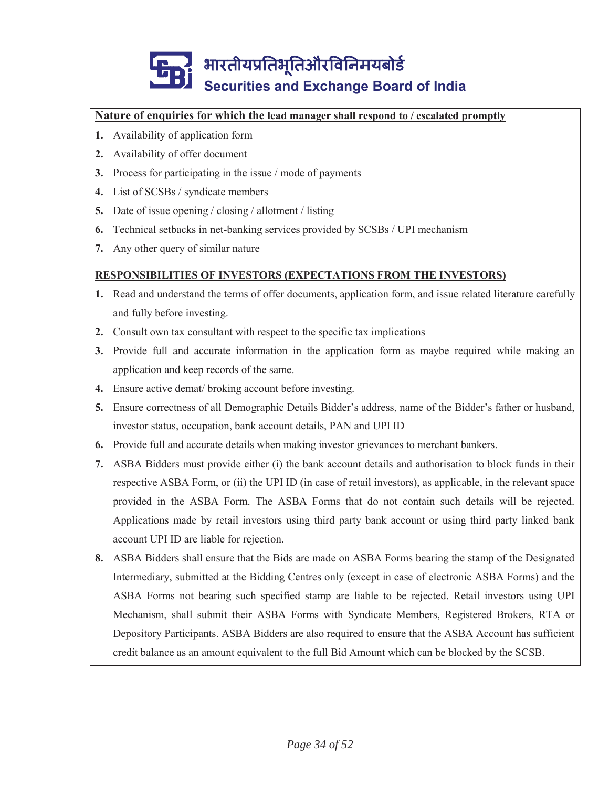#### **Nature of enquiries for which the lead manager shall respond to / escalated promptly**

- **1.** Availability of application form
- **2.** Availability of offer document
- **3.** Process for participating in the issue / mode of payments
- **4.** List of SCSBs / syndicate members
- **5.** Date of issue opening / closing / allotment / listing
- **6.** Technical setbacks in net-banking services provided by SCSBs / UPI mechanism
- **7.** Any other query of similar nature

#### **RESPONSIBILITIES OF INVESTORS (EXPECTATIONS FROM THE INVESTORS)**

- **1.** Read and understand the terms of offer documents, application form, and issue related literature carefully and fully before investing.
- **2.** Consult own tax consultant with respect to the specific tax implications
- **3.** Provide full and accurate information in the application form as maybe required while making an application and keep records of the same.
- **4.** Ensure active demat/ broking account before investing.
- **5.** Ensure correctness of all Demographic Details Bidder's address, name of the Bidder's father or husband, investor status, occupation, bank account details, PAN and UPI ID
- **6.** Provide full and accurate details when making investor grievances to merchant bankers.
- **7.** ASBA Bidders must provide either (i) the bank account details and authorisation to block funds in their respective ASBA Form, or (ii) the UPI ID (in case of retail investors), as applicable, in the relevant space provided in the ASBA Form. The ASBA Forms that do not contain such details will be rejected. Applications made by retail investors using third party bank account or using third party linked bank account UPI ID are liable for rejection.
- **8.** ASBA Bidders shall ensure that the Bids are made on ASBA Forms bearing the stamp of the Designated Intermediary, submitted at the Bidding Centres only (except in case of electronic ASBA Forms) and the ASBA Forms not bearing such specified stamp are liable to be rejected. Retail investors using UPI Mechanism, shall submit their ASBA Forms with Syndicate Members, Registered Brokers, RTA or Depository Participants. ASBA Bidders are also required to ensure that the ASBA Account has sufficient credit balance as an amount equivalent to the full Bid Amount which can be blocked by the SCSB.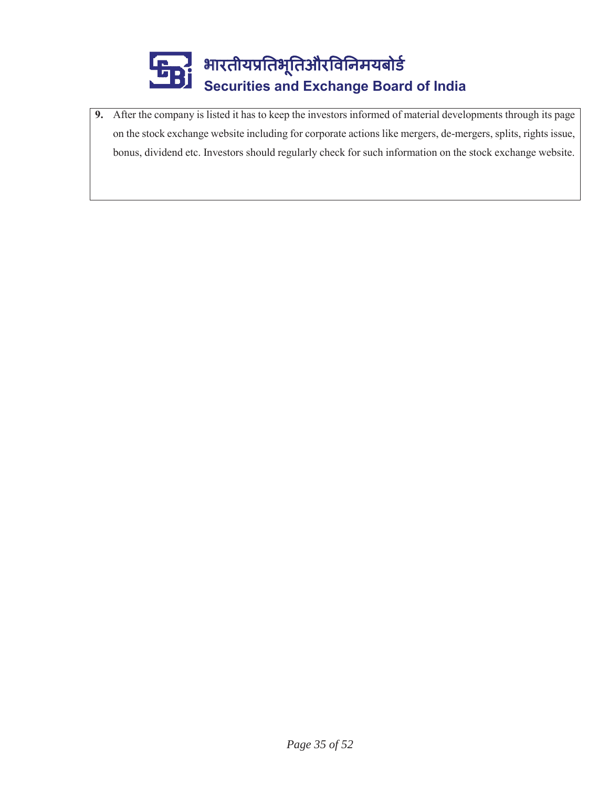

**9.** After the company is listed it has to keep the investors informed of material developments through its page on the stock exchange website including for corporate actions like mergers, de-mergers, splits, rights issue, bonus, dividend etc. Investors should regularly check for such information on the stock exchange website.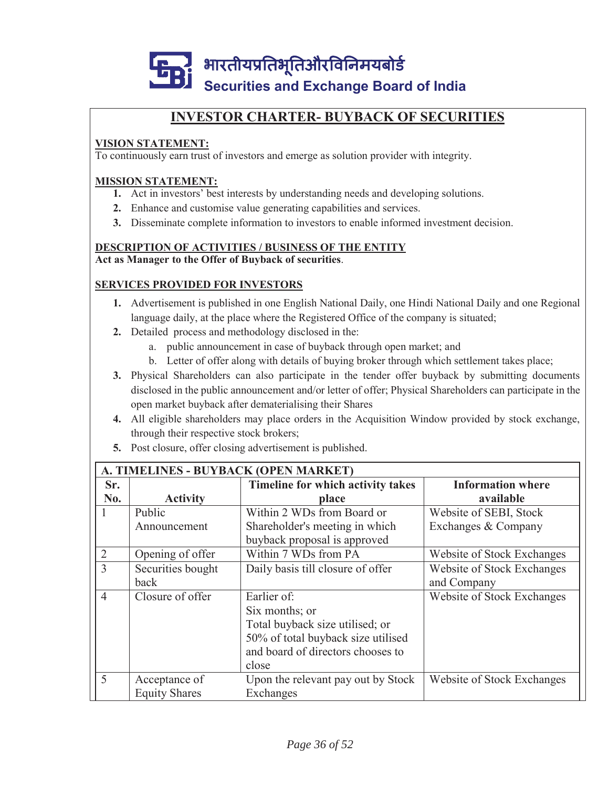

# **INVESTOR CHARTER- BUYBACK OF SECURITIES**

### **VISION STATEMENT:**

To continuously earn trust of investors and emerge as solution provider with integrity.

#### **MISSION STATEMENT:**

- **1.** Act in investors' best interests by understanding needs and developing solutions.
- **2.** Enhance and customise value generating capabilities and services.
- **3.** Disseminate complete information to investors to enable informed investment decision.

#### **DESCRIPTION OF ACTIVITIES / BUSINESS OF THE ENTITY Act as Manager to the Offer of Buyback of securities**.

#### **SERVICES PROVIDED FOR INVESTORS**

- **1.** Advertisement is published in one English National Daily, one Hindi National Daily and one Regional language daily, at the place where the Registered Office of the company is situated;
- **2.** Detailed process and methodology disclosed in the:
	- a. public announcement in case of buyback through open market; and
	- b. Letter of offer along with details of buying broker through which settlement takes place;
- **3.** Physical Shareholders can also participate in the tender offer buyback by submitting documents disclosed in the public announcement and/or letter of offer; Physical Shareholders can participate in the open market buyback after dematerialising their Shares
- **4.** All eligible shareholders may place orders in the Acquisition Window provided by stock exchange, through their respective stock brokers;
- **5.** Post closure, offer closing advertisement is published.

|                | A. TIMELINES - BUYBACK (OPEN MARKET) |                                    |                            |  |  |
|----------------|--------------------------------------|------------------------------------|----------------------------|--|--|
| Sr.            |                                      | Timeline for which activity takes  | <b>Information where</b>   |  |  |
| No.            | <b>Activity</b>                      | place                              | available                  |  |  |
| I.             | Public                               | Within 2 WDs from Board or         | Website of SEBI, Stock     |  |  |
|                | Announcement                         | Shareholder's meeting in which     | Exchanges & Company        |  |  |
|                |                                      | buyback proposal is approved       |                            |  |  |
| $\overline{2}$ | Opening of offer                     | Within 7 WDs from PA               | Website of Stock Exchanges |  |  |
| 3              | Securities bought                    | Daily basis till closure of offer  | Website of Stock Exchanges |  |  |
|                | back                                 |                                    | and Company                |  |  |
| $\overline{4}$ | Closure of offer                     | Earlier of:                        | Website of Stock Exchanges |  |  |
|                |                                      | Six months; or                     |                            |  |  |
|                |                                      | Total buyback size utilised; or    |                            |  |  |
|                |                                      | 50% of total buyback size utilised |                            |  |  |
|                |                                      | and board of directors chooses to  |                            |  |  |
|                |                                      | close                              |                            |  |  |
| 5              | Acceptance of                        | Upon the relevant pay out by Stock | Website of Stock Exchanges |  |  |
|                | <b>Equity Shares</b>                 | Exchanges                          |                            |  |  |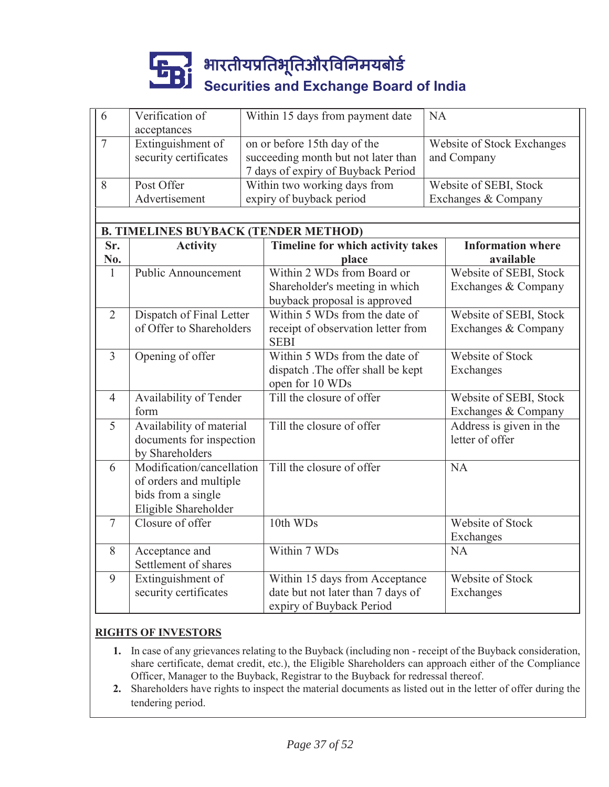| 6              | Verification of<br>acceptances              |                              | Within 15 days from payment date    | <b>NA</b> |                            |
|----------------|---------------------------------------------|------------------------------|-------------------------------------|-----------|----------------------------|
| $\overline{7}$ | Extinguishment of                           | on or before 15th day of the |                                     |           | Website of Stock Exchanges |
|                | security certificates                       |                              | succeeding month but not later than |           | and Company                |
|                |                                             |                              | 7 days of expiry of Buyback Period  |           |                            |
| 8              | Post Offer                                  |                              | Within two working days from        |           | Website of SEBI, Stock     |
|                | Advertisement                               |                              | expiry of buyback period            |           | Exchanges & Company        |
|                |                                             |                              |                                     |           |                            |
|                | <b>B. TIMELINES BUYBACK (TENDER METHOD)</b> |                              |                                     |           |                            |
| Sr.            | <b>Activity</b>                             |                              | Timeline for which activity takes   |           | <b>Information where</b>   |
| No.            |                                             |                              | place                               |           | available                  |
| 1              | <b>Public Announcement</b>                  |                              | Within 2 WDs from Board or          |           | Website of SEBI, Stock     |
|                |                                             |                              | Shareholder's meeting in which      |           | Exchanges & Company        |
|                |                                             |                              | buyback proposal is approved        |           |                            |
| $\overline{2}$ | Dispatch of Final Letter                    |                              | Within 5 WDs from the date of       |           | Website of SEBI, Stock     |
|                | of Offer to Shareholders                    |                              | receipt of observation letter from  |           | Exchanges & Company        |
|                |                                             |                              | <b>SEBI</b>                         |           |                            |
| $\overline{3}$ | Opening of offer                            |                              | Within 5 WDs from the date of       |           | Website of Stock           |
|                |                                             |                              | dispatch .The offer shall be kept   |           | Exchanges                  |
|                |                                             |                              | open for 10 WDs                     |           |                            |
| $\overline{4}$ | Availability of Tender                      |                              | Till the closure of offer           |           | Website of SEBI, Stock     |
|                | form                                        |                              |                                     |           | Exchanges & Company        |
| 5              | Availability of material                    |                              | Till the closure of offer           |           | Address is given in the    |
|                | documents for inspection                    |                              |                                     |           | letter of offer            |
|                | by Shareholders                             |                              |                                     |           |                            |
| 6              | Modification/cancellation                   |                              | Till the closure of offer           |           | <b>NA</b>                  |
|                | of orders and multiple                      |                              |                                     |           |                            |
|                | bids from a single                          |                              |                                     |           |                            |
|                | Eligible Shareholder                        |                              |                                     |           |                            |
| $\tau$         | Closure of offer                            |                              | 10th WDs                            |           | Website of Stock           |
|                |                                             |                              |                                     |           | Exchanges                  |
| 8              | Acceptance and                              |                              | Within 7 WDs                        |           | <b>NA</b>                  |
|                | Settlement of shares                        |                              |                                     |           |                            |
| 9              | Extinguishment of                           |                              | Within 15 days from Acceptance      |           | <b>Website of Stock</b>    |
|                | security certificates                       |                              | date but not later than 7 days of   |           | Exchanges                  |
|                |                                             |                              | expiry of Buyback Period            |           |                            |
|                |                                             |                              |                                     |           |                            |

#### **RIGHTS OF INVESTORS**

- **1.** In case of any grievances relating to the Buyback (including non receipt of the Buyback consideration, share certificate, demat credit, etc.), the Eligible Shareholders can approach either of the Compliance Officer, Manager to the Buyback, Registrar to the Buyback for redressal thereof.
- **2.** Shareholders have rights to inspect the material documents as listed out in the letter of offer during the tendering period.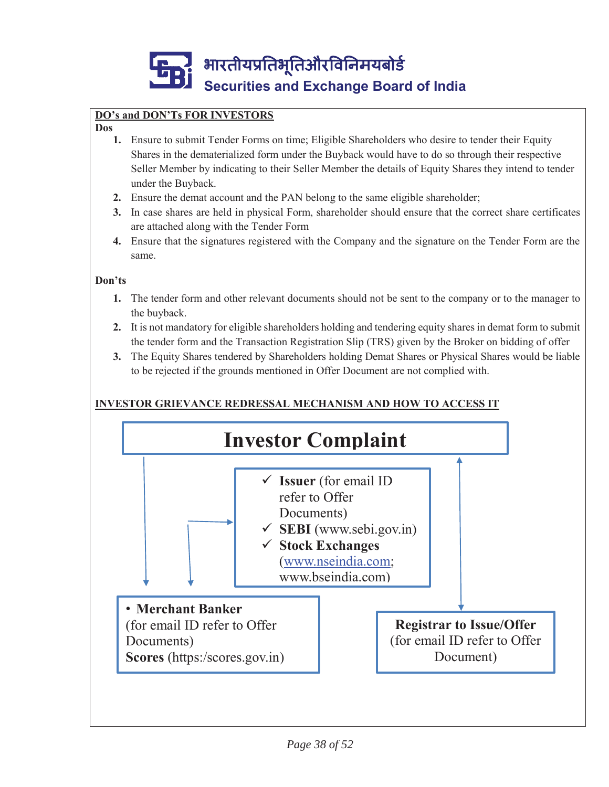

# **DO's and DON'Ts FOR INVESTORS**

#### **Dos**

- **1.** Ensure to submit Tender Forms on time; Eligible Shareholders who desire to tender their Equity Shares in the dematerialized form under the Buyback would have to do so through their respective Seller Member by indicating to their Seller Member the details of Equity Shares they intend to tender under the Buyback.
- **2.** Ensure the demat account and the PAN belong to the same eligible shareholder;
- **3.** In case shares are held in physical Form, shareholder should ensure that the correct share certificates are attached along with the Tender Form
- **4.** Ensure that the signatures registered with the Company and the signature on the Tender Form are the same.

#### **Don'ts**

- **1.** The tender form and other relevant documents should not be sent to the company or to the manager to the buyback.
- **2.** It is not mandatory for eligible shareholders holding and tendering equity shares in demat form to submit the tender form and the Transaction Registration Slip (TRS) given by the Broker on bidding of offer
- **3.** The Equity Shares tendered by Shareholders holding Demat Shares or Physical Shares would be liable to be rejected if the grounds mentioned in Offer Document are not complied with.

# **INVESTOR GRIEVANCE REDRESSAL MECHANISM AND HOW TO ACCESS IT**

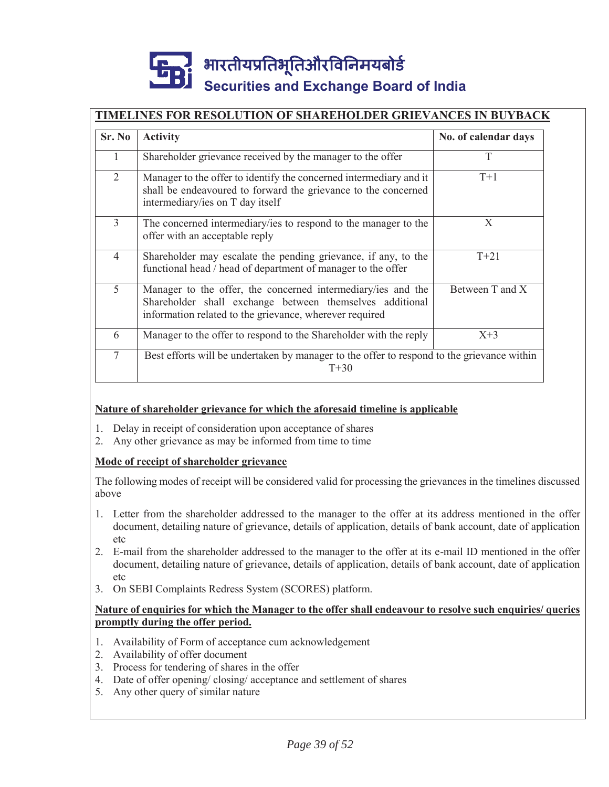### **TIMELINES FOR RESOLUTION OF SHAREHOLDER GRIEVANCES IN BUYBACK**

| Sr. No         | <b>Activity</b>                                                                                                                                                                     | No. of calendar days |  |
|----------------|-------------------------------------------------------------------------------------------------------------------------------------------------------------------------------------|----------------------|--|
| 1              | Shareholder grievance received by the manager to the offer                                                                                                                          | T                    |  |
| $\overline{2}$ | Manager to the offer to identify the concerned intermediary and it<br>shall be endeavoured to forward the grievance to the concerned<br>intermediary/ies on T day itself            | $T+1$                |  |
| 3              | The concerned intermediary/ies to respond to the manager to the<br>offer with an acceptable reply                                                                                   | X                    |  |
| $\overline{4}$ | Shareholder may escalate the pending grievance, if any, to the<br>functional head / head of department of manager to the offer                                                      | $T + 21$             |  |
| 5              | Manager to the offer, the concerned intermediary/ies and the<br>Shareholder shall exchange between themselves additional<br>information related to the grievance, wherever required | Between T and X      |  |
| 6              | Manager to the offer to respond to the Shareholder with the reply                                                                                                                   | $X+3$                |  |
| 7              | Best efforts will be undertaken by manager to the offer to respond to the grievance within<br>$T + 30$                                                                              |                      |  |

#### **Nature of shareholder grievance for which the aforesaid timeline is applicable**

- 1. Delay in receipt of consideration upon acceptance of shares
- 2. Any other grievance as may be informed from time to time

#### **Mode of receipt of shareholder grievance**

The following modes of receipt will be considered valid for processing the grievances in the timelines discussed above

- 1. Letter from the shareholder addressed to the manager to the offer at its address mentioned in the offer document, detailing nature of grievance, details of application, details of bank account, date of application etc
- 2. E-mail from the shareholder addressed to the manager to the offer at its e-mail ID mentioned in the offer document, detailing nature of grievance, details of application, details of bank account, date of application etc
- 3. On SEBI Complaints Redress System (SCORES) platform.

#### **Nature of enquiries for which the Manager to the offer shall endeavour to resolve such enquiries/ queries promptly during the offer period.**

- 1. Availability of Form of acceptance cum acknowledgement
- 2. Availability of offer document
- 3. Process for tendering of shares in the offer
- 4. Date of offer opening/ closing/ acceptance and settlement of shares
- 5. Any other query of similar nature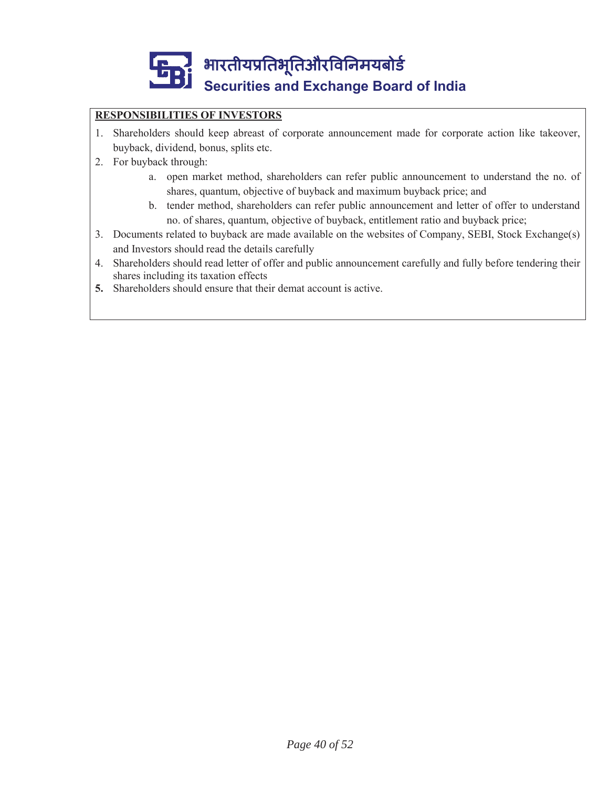

### **RESPONSIBILITIES OF INVESTORS**

- 1. Shareholders should keep abreast of corporate announcement made for corporate action like takeover, buyback, dividend, bonus, splits etc.
- 2. For buyback through:
	- a. open market method, shareholders can refer public announcement to understand the no. of shares, quantum, objective of buyback and maximum buyback price; and
	- b. tender method, shareholders can refer public announcement and letter of offer to understand no. of shares, quantum, objective of buyback, entitlement ratio and buyback price;
- 3. Documents related to buyback are made available on the websites of Company, SEBI, Stock Exchange(s) and Investors should read the details carefully
- 4. Shareholders should read letter of offer and public announcement carefully and fully before tendering their shares including its taxation effects
- **5.** Shareholders should ensure that their demat account is active.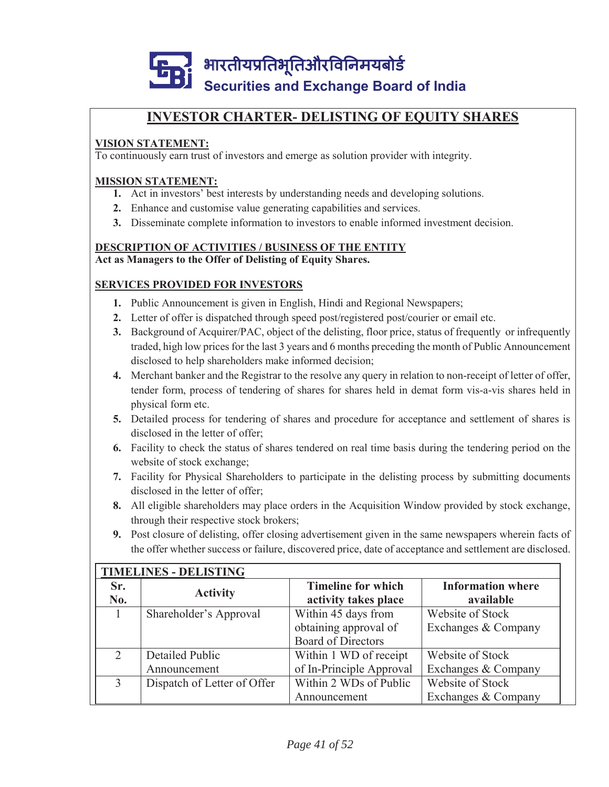

# **INVESTOR CHARTER- DELISTING OF EQUITY SHARES**

### **VISION STATEMENT:**

To continuously earn trust of investors and emerge as solution provider with integrity.

#### **MISSION STATEMENT:**

- **1.** Act in investors' best interests by understanding needs and developing solutions.
- **2.** Enhance and customise value generating capabilities and services.
- **3.** Disseminate complete information to investors to enable informed investment decision.

#### **DESCRIPTION OF ACTIVITIES / BUSINESS OF THE ENTITY Act as Managers to the Offer of Delisting of Equity Shares.**

#### **SERVICES PROVIDED FOR INVESTORS**

- **1.** Public Announcement is given in English, Hindi and Regional Newspapers;
- **2.** Letter of offer is dispatched through speed post/registered post/courier or email etc.
- **3.** Background of Acquirer/PAC, object of the delisting, floor price, status of frequently or infrequently traded, high low prices for the last 3 years and 6 months preceding the month of Public Announcement disclosed to help shareholders make informed decision;
- **4.** Merchant banker and the Registrar to the resolve any query in relation to non-receipt of letter of offer, tender form, process of tendering of shares for shares held in demat form vis-a-vis shares held in physical form etc.
- **5.** Detailed process for tendering of shares and procedure for acceptance and settlement of shares is disclosed in the letter of offer;
- **6.** Facility to check the status of shares tendered on real time basis during the tendering period on the website of stock exchange;
- **7.** Facility for Physical Shareholders to participate in the delisting process by submitting documents disclosed in the letter of offer;
- **8.** All eligible shareholders may place orders in the Acquisition Window provided by stock exchange, through their respective stock brokers;
- **9.** Post closure of delisting, offer closing advertisement given in the same newspapers wherein facts of the offer whether success or failure, discovered price, date of acceptance and settlement are disclosed.

|               | <b>TIMELINES - DELISTING</b> |                           |                          |  |  |
|---------------|------------------------------|---------------------------|--------------------------|--|--|
| Sr.           | <b>Activity</b>              | <b>Timeline for which</b> | <b>Information where</b> |  |  |
| No.           |                              | activity takes place      | available                |  |  |
|               | Shareholder's Approval       | Within 45 days from       | Website of Stock         |  |  |
|               |                              | obtaining approval of     | Exchanges & Company      |  |  |
|               |                              | <b>Board of Directors</b> |                          |  |  |
| 2             | Detailed Public              | Within 1 WD of receipt    | Website of Stock         |  |  |
|               | Announcement                 | of In-Principle Approval  | Exchanges & Company      |  |  |
| $\mathcal{R}$ | Dispatch of Letter of Offer  | Within 2 WDs of Public    | Website of Stock         |  |  |
|               |                              | Announcement              | Exchanges & Company      |  |  |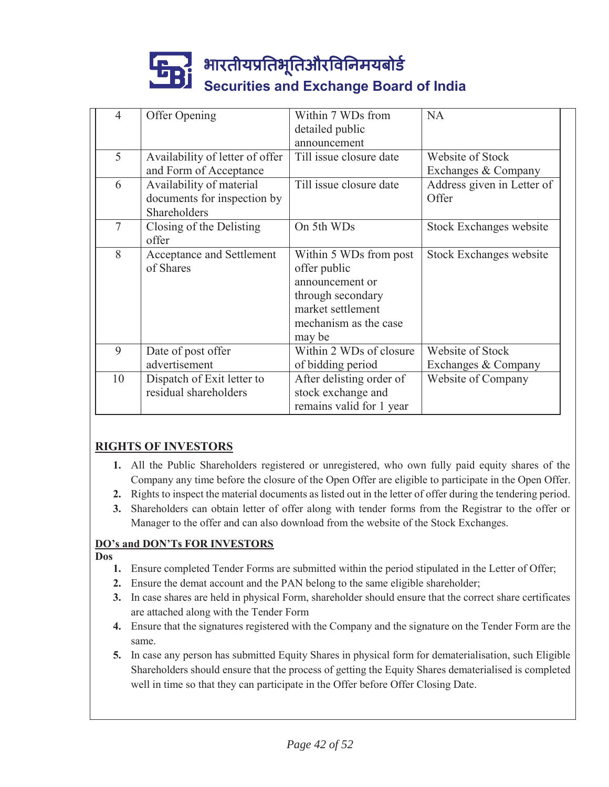| 4      | Offer Opening                   | Within 7 WDs from        | <b>NA</b>                  |
|--------|---------------------------------|--------------------------|----------------------------|
|        |                                 | detailed public          |                            |
|        |                                 | announcement             |                            |
| 5      | Availability of letter of offer | Till issue closure date  | Website of Stock           |
|        | and Form of Acceptance          |                          | Exchanges & Company        |
| 6      | Availability of material        | Till issue closure date  | Address given in Letter of |
|        | documents for inspection by     |                          | Offer                      |
|        | Shareholders                    |                          |                            |
| $\tau$ | Closing of the Delisting        | On 5th WDs               | Stock Exchanges website    |
|        | offer                           |                          |                            |
| 8      | Acceptance and Settlement       | Within 5 WDs from post   | Stock Exchanges website    |
|        | of Shares                       | offer public             |                            |
|        |                                 | announcement or          |                            |
|        |                                 | through secondary        |                            |
|        |                                 | market settlement        |                            |
|        |                                 | mechanism as the case    |                            |
|        |                                 | may be                   |                            |
| 9      | Date of post offer              | Within 2 WDs of closure  | Website of Stock           |
|        | advertisement                   | of bidding period        | Exchanges & Company        |
| 10     | Dispatch of Exit letter to      | After delisting order of | Website of Company         |
|        | residual shareholders           | stock exchange and       |                            |
|        |                                 | remains valid for 1 year |                            |
|        |                                 |                          |                            |

# **RIGHTS OF INVESTORS**

- **1.** All the Public Shareholders registered or unregistered, who own fully paid equity shares of the Company any time before the closure of the Open Offer are eligible to participate in the Open Offer.
- **2.** Rights to inspect the material documents as listed out in the letter of offer during the tendering period.
- **3.** Shareholders can obtain letter of offer along with tender forms from the Registrar to the offer or Manager to the offer and can also download from the website of the Stock Exchanges.

### **DO's and DON'Ts FOR INVESTORS**

#### **Dos**

- **1.** Ensure completed Tender Forms are submitted within the period stipulated in the Letter of Offer;
- **2.** Ensure the demat account and the PAN belong to the same eligible shareholder;
- **3.** In case shares are held in physical Form, shareholder should ensure that the correct share certificates are attached along with the Tender Form
- **4.** Ensure that the signatures registered with the Company and the signature on the Tender Form are the same.
- **5.** In case any person has submitted Equity Shares in physical form for dematerialisation, such Eligible Shareholders should ensure that the process of getting the Equity Shares dematerialised is completed well in time so that they can participate in the Offer before Offer Closing Date.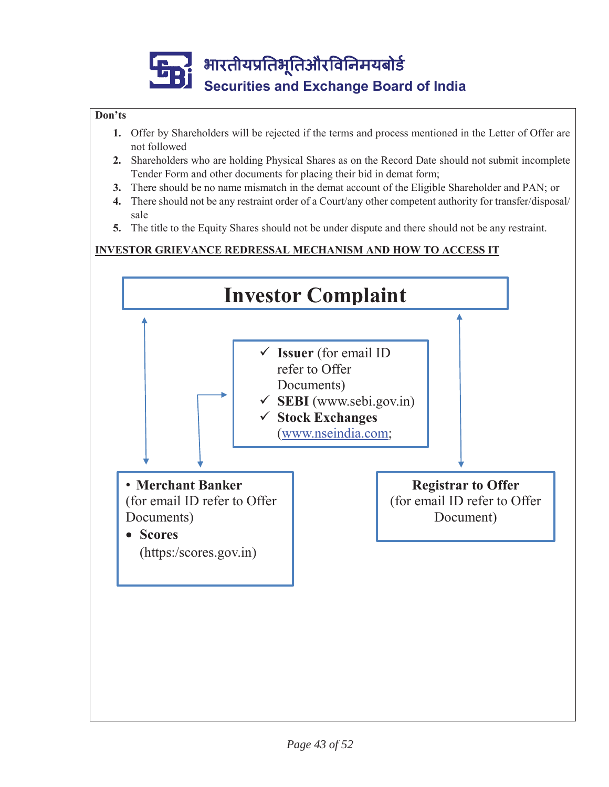### **Don'ts**

- **1.** Offer by Shareholders will be rejected if the terms and process mentioned in the Letter of Offer are not followed
- **2.** Shareholders who are holding Physical Shares as on the Record Date should not submit incomplete Tender Form and other documents for placing their bid in demat form;
- **3.** There should be no name mismatch in the demat account of the Eligible Shareholder and PAN; or
- **4.** There should not be any restraint order of a Court/any other competent authority for transfer/disposal/ sale
- **5.** The title to the Equity Shares should not be under dispute and there should not be any restraint.

### **INVESTOR GRIEVANCE REDRESSAL MECHANISM AND HOW TO ACCESS IT**

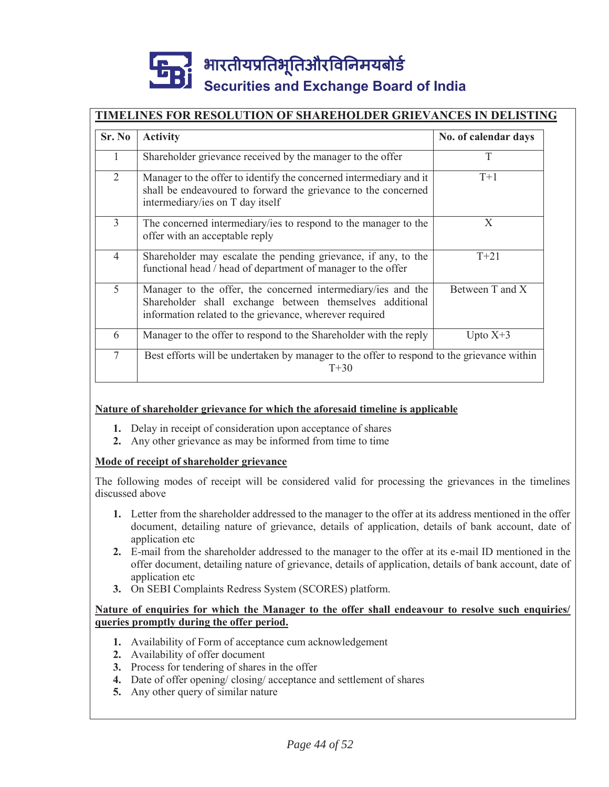## **TIMELINES FOR RESOLUTION OF SHAREHOLDER GRIEVANCES IN DELISTING**

| Sr. No         | <b>Activity</b>                                                                                                                                                                     | No. of calendar days |  |
|----------------|-------------------------------------------------------------------------------------------------------------------------------------------------------------------------------------|----------------------|--|
| 1              | Shareholder grievance received by the manager to the offer                                                                                                                          | T                    |  |
| $\overline{2}$ | Manager to the offer to identify the concerned intermediary and it<br>shall be endeavoured to forward the grievance to the concerned<br>intermediary/ies on T day itself            | $T+1$                |  |
| 3              | The concerned intermediary/ies to respond to the manager to the<br>offer with an acceptable reply                                                                                   | X                    |  |
| $\overline{4}$ | Shareholder may escalate the pending grievance, if any, to the<br>functional head / head of department of manager to the offer                                                      | $T + 21$             |  |
| 5              | Manager to the offer, the concerned intermediary/ies and the<br>Shareholder shall exchange between themselves additional<br>information related to the grievance, wherever required | Between T and X      |  |
| 6              | Manager to the offer to respond to the Shareholder with the reply                                                                                                                   | Upto $X+3$           |  |
| $\overline{7}$ | Best efforts will be undertaken by manager to the offer to respond to the grievance within<br>$T + 30$                                                                              |                      |  |

#### **Nature of shareholder grievance for which the aforesaid timeline is applicable**

- **1.** Delay in receipt of consideration upon acceptance of shares
- **2.** Any other grievance as may be informed from time to time

#### **Mode of receipt of shareholder grievance**

The following modes of receipt will be considered valid for processing the grievances in the timelines discussed above

- **1.** Letter from the shareholder addressed to the manager to the offer at its address mentioned in the offer document, detailing nature of grievance, details of application, details of bank account, date of application etc
- **2.** E-mail from the shareholder addressed to the manager to the offer at its e-mail ID mentioned in the offer document, detailing nature of grievance, details of application, details of bank account, date of application etc
- **3.** On SEBI Complaints Redress System (SCORES) platform.

#### **Nature of enquiries for which the Manager to the offer shall endeavour to resolve such enquiries/ queries promptly during the offer period.**

- **1.** Availability of Form of acceptance cum acknowledgement
- **2.** Availability of offer document
- **3.** Process for tendering of shares in the offer
- **4.** Date of offer opening/ closing/ acceptance and settlement of shares
- **5.** Any other query of similar nature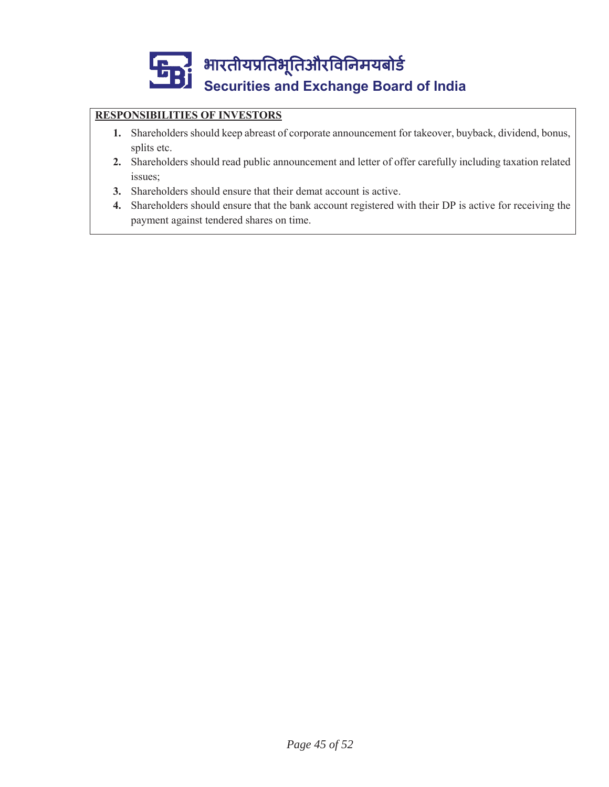# **RESPONSIBILITIES OF INVESTORS**

- **1.** Shareholders should keep abreast of corporate announcement for takeover, buyback, dividend, bonus, splits etc.
- **2.** Shareholders should read public announcement and letter of offer carefully including taxation related issues;
- **3.** Shareholders should ensure that their demat account is active.
- **4.** Shareholders should ensure that the bank account registered with their DP is active for receiving the payment against tendered shares on time.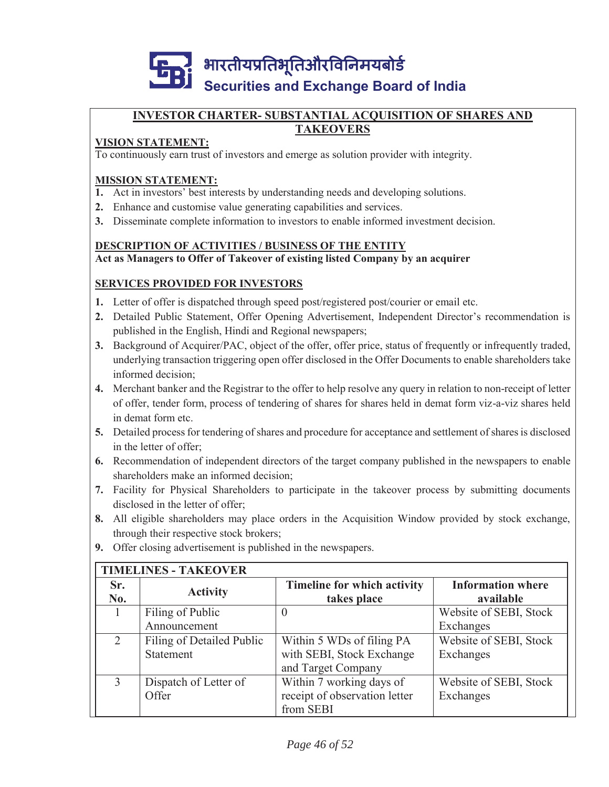

#### **INVESTOR CHARTER- SUBSTANTIAL ACQUISITION OF SHARES AND TAKEOVERS**

### **VISION STATEMENT:**

To continuously earn trust of investors and emerge as solution provider with integrity.

#### **MISSION STATEMENT:**

- **1.** Act in investors' best interests by understanding needs and developing solutions.
- **2.** Enhance and customise value generating capabilities and services.
- **3.** Disseminate complete information to investors to enable informed investment decision.

#### **DESCRIPTION OF ACTIVITIES / BUSINESS OF THE ENTITY Act as Managers to Offer of Takeover of existing listed Company by an acquirer**

### **SERVICES PROVIDED FOR INVESTORS**

- **1.** Letter of offer is dispatched through speed post/registered post/courier or email etc.
- **2.** Detailed Public Statement, Offer Opening Advertisement, Independent Director's recommendation is published in the English, Hindi and Regional newspapers;
- **3.** Background of Acquirer/PAC, object of the offer, offer price, status of frequently or infrequently traded, underlying transaction triggering open offer disclosed in the Offer Documents to enable shareholders take informed decision;
- **4.** Merchant banker and the Registrar to the offer to help resolve any query in relation to non-receipt of letter of offer, tender form, process of tendering of shares for shares held in demat form viz-a-viz shares held in demat form etc.
- **5.** Detailed process for tendering of shares and procedure for acceptance and settlement of shares is disclosed in the letter of offer;
- **6.** Recommendation of independent directors of the target company published in the newspapers to enable shareholders make an informed decision;
- **7.** Facility for Physical Shareholders to participate in the takeover process by submitting documents disclosed in the letter of offer;
- **8.** All eligible shareholders may place orders in the Acquisition Window provided by stock exchange, through their respective stock brokers;
- **9.** Offer closing advertisement is published in the newspapers.

|                             | <b>TIMELINES - TAKEOVER</b> |                                    |                          |  |  |  |
|-----------------------------|-----------------------------|------------------------------------|--------------------------|--|--|--|
| Sr.                         | <b>Activity</b>             | <b>Timeline for which activity</b> | <b>Information where</b> |  |  |  |
| No.                         |                             | takes place                        | available                |  |  |  |
|                             | Filing of Public            | $\theta$                           | Website of SEBI, Stock   |  |  |  |
|                             | Announcement                |                                    | Exchanges                |  |  |  |
| $\mathcal{D}_{\mathcal{L}}$ | Filing of Detailed Public   | Within 5 WDs of filing PA          | Website of SEBI, Stock   |  |  |  |
|                             | Statement                   | with SEBI, Stock Exchange          | Exchanges                |  |  |  |
|                             |                             | and Target Company                 |                          |  |  |  |
| 3                           | Dispatch of Letter of       | Within 7 working days of           | Website of SEBI, Stock   |  |  |  |
|                             | Offer                       | receipt of observation letter      | Exchanges                |  |  |  |
|                             |                             | from SEBI                          |                          |  |  |  |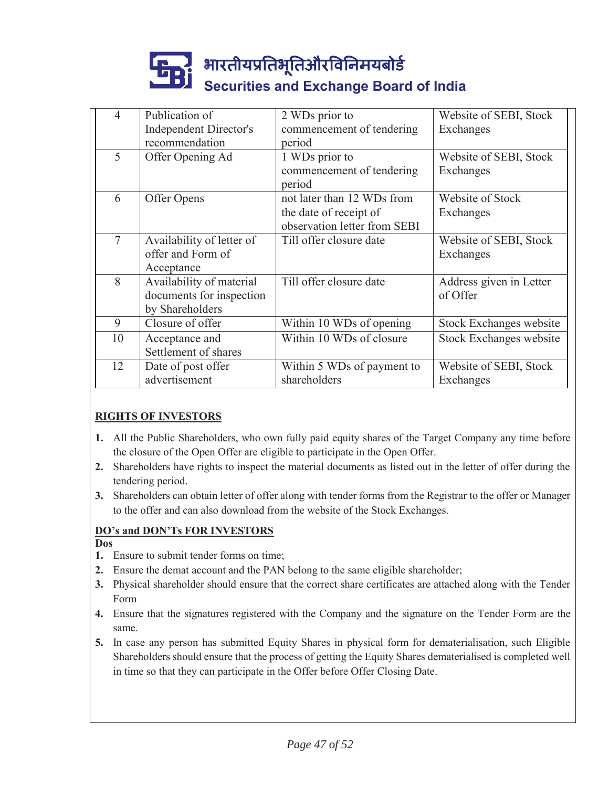| 4  | Publication of                | 2 WDs prior to               | Website of SEBI, Stock  |
|----|-------------------------------|------------------------------|-------------------------|
|    | <b>Independent Director's</b> | commencement of tendering    | Exchanges               |
|    | recommendation                | period                       |                         |
| 5  | Offer Opening Ad              | 1 WDs prior to               | Website of SEBI, Stock  |
|    |                               | commencement of tendering    | Exchanges               |
|    |                               | period                       |                         |
| 6  | Offer Opens                   | not later than 12 WDs from   | Website of Stock        |
|    |                               | the date of receipt of       | Exchanges               |
|    |                               | observation letter from SEBI |                         |
| 7  | Availability of letter of     | Till offer closure date      | Website of SEBI, Stock  |
|    | offer and Form of             |                              | Exchanges               |
|    | Acceptance                    |                              |                         |
| 8  | Availability of material      | Till offer closure date      | Address given in Letter |
|    | documents for inspection      |                              | of Offer                |
|    | by Shareholders               |                              |                         |
| 9  | Closure of offer              | Within 10 WDs of opening     | Stock Exchanges website |
| 10 | Acceptance and                | Within 10 WDs of closure     | Stock Exchanges website |
|    | Settlement of shares          |                              |                         |
| 12 | Date of post offer            | Within 5 WDs of payment to   | Website of SEBI, Stock  |
|    | advertisement                 | shareholders                 | Exchanges               |

### **RIGHTS OF INVESTORS**

- **1.** All the Public Shareholders, who own fully paid equity shares of the Target Company any time before the closure of the Open Offer are eligible to participate in the Open Offer.
- **2.** Shareholders have rights to inspect the material documents as listed out in the letter of offer during the tendering period.
- **3.** Shareholders can obtain letter of offer along with tender forms from the Registrar to the offer or Manager to the offer and can also download from the website of the Stock Exchanges.

#### **DO's and DON'Ts FOR INVESTORS**

- **Dos**
- **1.** Ensure to submit tender forms on time;
- **2.** Ensure the demat account and the PAN belong to the same eligible shareholder;
- **3.** Physical shareholder should ensure that the correct share certificates are attached along with the Tender Form
- **4.** Ensure that the signatures registered with the Company and the signature on the Tender Form are the same.
- **5.** In case any person has submitted Equity Shares in physical form for dematerialisation, such Eligible Shareholders should ensure that the process of getting the Equity Shares dematerialised is completed well in time so that they can participate in the Offer before Offer Closing Date.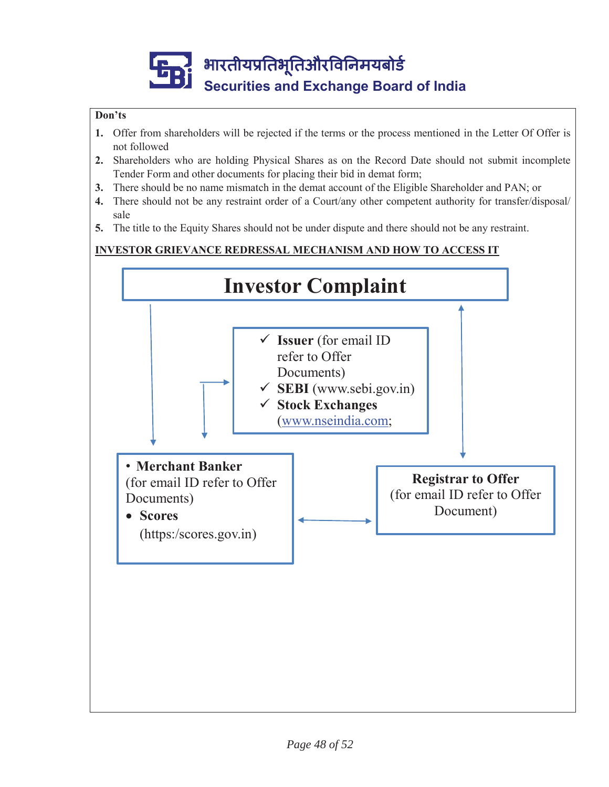#### **Don'ts**

- **1.** Offer from shareholders will be rejected if the terms or the process mentioned in the Letter Of Offer is not followed
- **2.** Shareholders who are holding Physical Shares as on the Record Date should not submit incomplete Tender Form and other documents for placing their bid in demat form;
- **3.** There should be no name mismatch in the demat account of the Eligible Shareholder and PAN; or
- **4.** There should not be any restraint order of a Court/any other competent authority for transfer/disposal/ sale
- **5.** The title to the Equity Shares should not be under dispute and there should not be any restraint.

### **INVESTOR GRIEVANCE REDRESSAL MECHANISM AND HOW TO ACCESS IT**

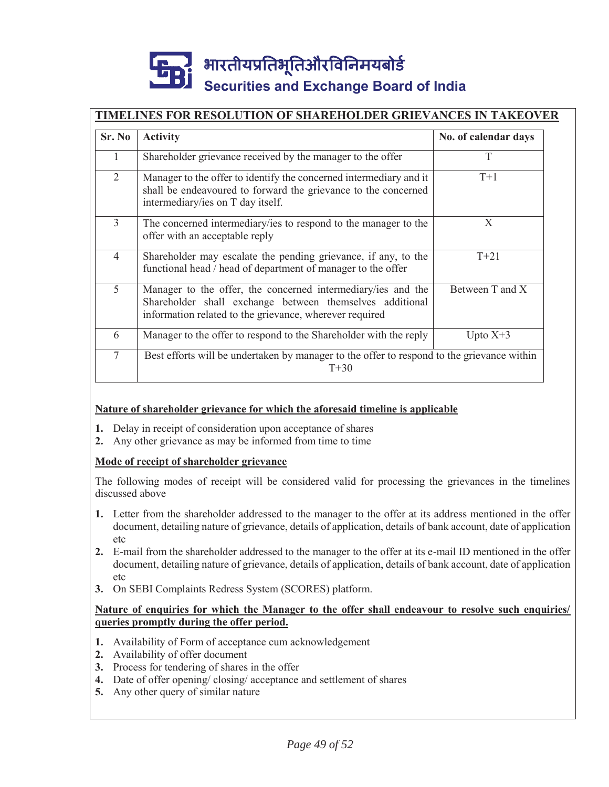## **TIMELINES FOR RESOLUTION OF SHAREHOLDER GRIEVANCES IN TAKEOVER**

| Sr. No         | <b>Activity</b>                                                                                                                                                                     | No. of calendar days |
|----------------|-------------------------------------------------------------------------------------------------------------------------------------------------------------------------------------|----------------------|
| 1              | Shareholder grievance received by the manager to the offer                                                                                                                          | T                    |
| $\overline{2}$ | Manager to the offer to identify the concerned intermediary and it<br>shall be endeavoured to forward the grievance to the concerned<br>intermediary/ies on T day itself.           | $T+1$                |
| 3              | The concerned intermediary/ies to respond to the manager to the<br>offer with an acceptable reply                                                                                   | X                    |
| $\overline{4}$ | Shareholder may escalate the pending grievance, if any, to the<br>functional head / head of department of manager to the offer                                                      | $T + 21$             |
| 5              | Manager to the offer, the concerned intermediary/ies and the<br>Shareholder shall exchange between themselves additional<br>information related to the grievance, wherever required | Between T and X      |
| 6              | Manager to the offer to respond to the Shareholder with the reply                                                                                                                   | Upto $X+3$           |
| 7              | Best efforts will be undertaken by manager to the offer to respond to the grievance within<br>$T + 30$                                                                              |                      |

#### **Nature of shareholder grievance for which the aforesaid timeline is applicable**

- **1.** Delay in receipt of consideration upon acceptance of shares
- **2.** Any other grievance as may be informed from time to time

#### **Mode of receipt of shareholder grievance**

The following modes of receipt will be considered valid for processing the grievances in the timelines discussed above

- **1.** Letter from the shareholder addressed to the manager to the offer at its address mentioned in the offer document, detailing nature of grievance, details of application, details of bank account, date of application etc
- **2.** E-mail from the shareholder addressed to the manager to the offer at its e-mail ID mentioned in the offer document, detailing nature of grievance, details of application, details of bank account, date of application etc
- **3.** On SEBI Complaints Redress System (SCORES) platform.

#### **Nature of enquiries for which the Manager to the offer shall endeavour to resolve such enquiries/ queries promptly during the offer period.**

- **1.** Availability of Form of acceptance cum acknowledgement
- **2.** Availability of offer document
- **3.** Process for tendering of shares in the offer
- **4.** Date of offer opening/ closing/ acceptance and settlement of shares
- **5.** Any other query of similar nature